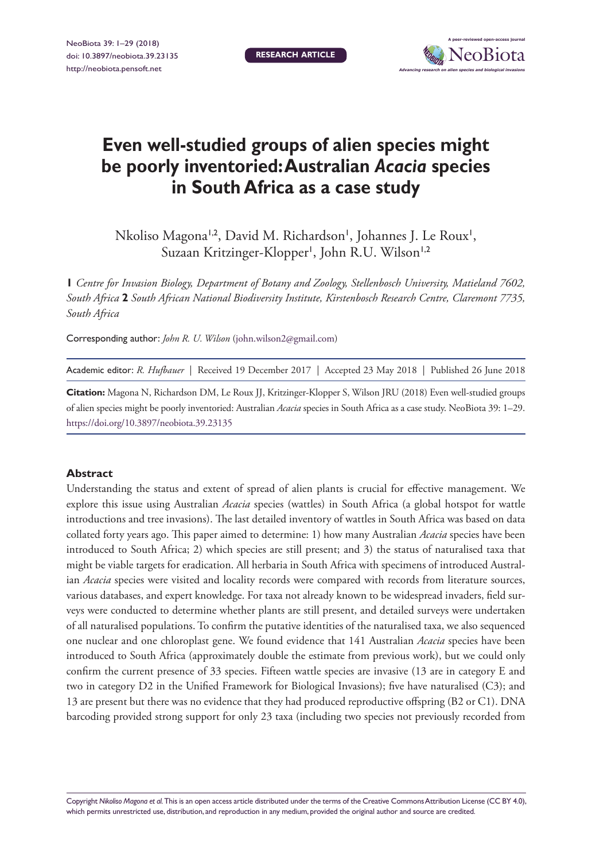**RESEARCH ARTICLE**



# **Even well-studied groups of alien species might be poorly inventoried: Australian** *Acacia* **species in South Africa as a case study**

Nkoliso Magona<sup>1,2</sup>, David M. Richardson<sup>1</sup>, Johannes J. Le Roux<sup>1</sup>, Suzaan Kritzinger-Klopper', John R.U. Wilson'<sup>,2</sup>

**1** *Centre for Invasion Biology, Department of Botany and Zoology, Stellenbosch University, Matieland 7602, South Africa* **2** *South African National Biodiversity Institute, Kirstenbosch Research Centre, Claremont 7735, South Africa*

Corresponding author: *John R. U. Wilson* [\(john.wilson2@gmail.com](mailto:john.wilson2@gmail.com))

Academic editor: *R. Hufbauer* | Received 19 December 2017 | Accepted 23 May 2018 | Published 26 June 2018

**Citation:** Magona N, Richardson DM, Le Roux JJ, Kritzinger-Klopper S, Wilson JRU (2018) Even well-studied groups of alien species might be poorly inventoried: Australian *Acacia* species in South Africa as a case study. NeoBiota 39: 1–29. <https://doi.org/10.3897/neobiota.39.23135>

#### **Abstract**

Understanding the status and extent of spread of alien plants is crucial for effective management. We explore this issue using Australian *Acacia* species (wattles) in South Africa (a global hotspot for wattle introductions and tree invasions). The last detailed inventory of wattles in South Africa was based on data collated forty years ago. This paper aimed to determine: 1) how many Australian *Acacia* species have been introduced to South Africa; 2) which species are still present; and 3) the status of naturalised taxa that might be viable targets for eradication. All herbaria in South Africa with specimens of introduced Australian *Acacia* species were visited and locality records were compared with records from literature sources, various databases, and expert knowledge. For taxa not already known to be widespread invaders, field surveys were conducted to determine whether plants are still present, and detailed surveys were undertaken of all naturalised populations. To confirm the putative identities of the naturalised taxa, we also sequenced one nuclear and one chloroplast gene. We found evidence that 141 Australian *Acacia* species have been introduced to South Africa (approximately double the estimate from previous work), but we could only confirm the current presence of 33 species. Fifteen wattle species are invasive (13 are in category E and two in category D2 in the Unified Framework for Biological Invasions); five have naturalised (C3); and 13 are present but there was no evidence that they had produced reproductive offspring (B2 or C1). DNA barcoding provided strong support for only 23 taxa (including two species not previously recorded from

Copyright *Nikoliso Magona et al.* This is an open access article distributed under the terms of the [Creative Commons Attribution License \(CC BY 4.0\),](http://creativecommons.org/licenses/by/4.0/) which permits unrestricted use, distribution, and reproduction in any medium, provided the original author and source are credited.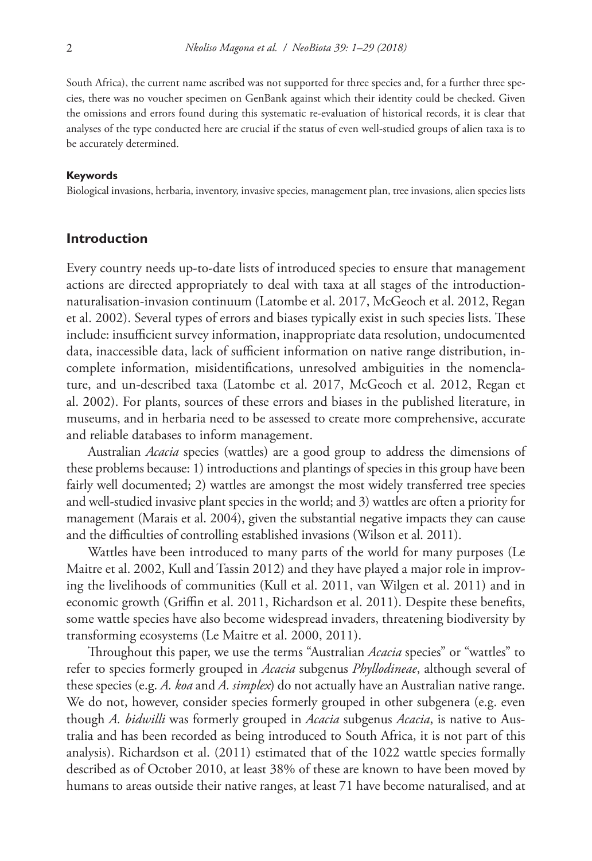South Africa), the current name ascribed was not supported for three species and, for a further three species, there was no voucher specimen on GenBank against which their identity could be checked. Given the omissions and errors found during this systematic re-evaluation of historical records, it is clear that analyses of the type conducted here are crucial if the status of even well-studied groups of alien taxa is to be accurately determined.

#### **Keywords**

Biological invasions, herbaria, inventory, invasive species, management plan, tree invasions, alien species lists

## **Introduction**

Every country needs up-to-date lists of introduced species to ensure that management actions are directed appropriately to deal with taxa at all stages of the introductionnaturalisation-invasion continuum (Latombe et al. 2017, McGeoch et al. 2012, Regan et al. 2002). Several types of errors and biases typically exist in such species lists. These include: insufficient survey information, inappropriate data resolution, undocumented data, inaccessible data, lack of sufficient information on native range distribution, incomplete information, misidentifications, unresolved ambiguities in the nomenclature, and un-described taxa (Latombe et al. 2017, McGeoch et al. 2012, Regan et al. 2002). For plants, sources of these errors and biases in the published literature, in museums, and in herbaria need to be assessed to create more comprehensive, accurate and reliable databases to inform management.

Australian *Acacia* species (wattles) are a good group to address the dimensions of these problems because: 1) introductions and plantings of species in this group have been fairly well documented; 2) wattles are amongst the most widely transferred tree species and well-studied invasive plant species in the world; and 3) wattles are often a priority for management (Marais et al. 2004), given the substantial negative impacts they can cause and the difficulties of controlling established invasions (Wilson et al. 2011).

Wattles have been introduced to many parts of the world for many purposes (Le Maitre et al. 2002, Kull and Tassin 2012) and they have played a major role in improving the livelihoods of communities (Kull et al. 2011, van Wilgen et al. 2011) and in economic growth (Griffin et al. 2011, Richardson et al. 2011). Despite these benefits, some wattle species have also become widespread invaders, threatening biodiversity by transforming ecosystems (Le Maitre et al. 2000, 2011).

Throughout this paper, we use the terms "Australian *Acacia* species" or "wattles" to refer to species formerly grouped in *Acacia* subgenus *Phyllodineae*, although several of these species (e.g. *A. koa* and *A. simplex*) do not actually have an Australian native range. We do not, however, consider species formerly grouped in other subgenera (e.g. even though *A. bidwilli* was formerly grouped in *Acacia* subgenus *Acacia*, is native to Australia and has been recorded as being introduced to South Africa, it is not part of this analysis). Richardson et al. (2011) estimated that of the 1022 wattle species formally described as of October 2010, at least 38% of these are known to have been moved by humans to areas outside their native ranges, at least 71 have become naturalised, and at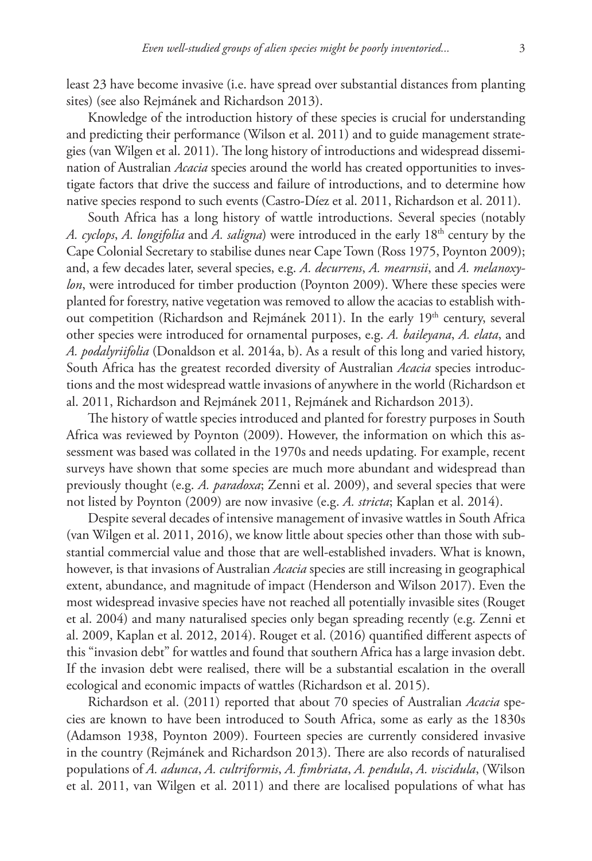least 23 have become invasive (i.e. have spread over substantial distances from planting sites) (see also Rejmánek and Richardson 2013).

Knowledge of the introduction history of these species is crucial for understanding and predicting their performance (Wilson et al. 2011) and to guide management strategies (van Wilgen et al. 2011). The long history of introductions and widespread dissemination of Australian *Acacia* species around the world has created opportunities to investigate factors that drive the success and failure of introductions, and to determine how native species respond to such events (Castro-Díez et al. 2011, Richardson et al. 2011).

South Africa has a long history of wattle introductions. Several species (notably *A. cyclops*, *A. longifolia* and *A. saligna*) were introduced in the early 18th century by the Cape Colonial Secretary to stabilise dunes near Cape Town (Ross 1975, Poynton 2009); and, a few decades later, several species, e.g. *A. decurrens*, *A. mearnsii*, and *A. melanoxylon*, were introduced for timber production (Poynton 2009). Where these species were planted for forestry, native vegetation was removed to allow the acacias to establish without competition (Richardson and Rejmánek 2011). In the early 19<sup>th</sup> century, several other species were introduced for ornamental purposes, e.g. *A. baileyana*, *A. elata*, and *A. podalyriifolia* (Donaldson et al. 2014a, b). As a result of this long and varied history, South Africa has the greatest recorded diversity of Australian *Acacia* species introductions and the most widespread wattle invasions of anywhere in the world (Richardson et al. 2011, Richardson and Rejmánek 2011, Rejmánek and Richardson 2013).

The history of wattle species introduced and planted for forestry purposes in South Africa was reviewed by Poynton (2009). However, the information on which this assessment was based was collated in the 1970s and needs updating. For example, recent surveys have shown that some species are much more abundant and widespread than previously thought (e.g. *A. paradoxa*; Zenni et al. 2009), and several species that were not listed by Poynton (2009) are now invasive (e.g. *A. stricta*; Kaplan et al. 2014).

Despite several decades of intensive management of invasive wattles in South Africa (van Wilgen et al. 2011, 2016), we know little about species other than those with substantial commercial value and those that are well-established invaders. What is known, however, is that invasions of Australian *Acacia* species are still increasing in geographical extent, abundance, and magnitude of impact (Henderson and Wilson 2017). Even the most widespread invasive species have not reached all potentially invasible sites (Rouget et al. 2004) and many naturalised species only began spreading recently (e.g. Zenni et al. 2009, Kaplan et al. 2012, 2014). Rouget et al. (2016) quantified different aspects of this "invasion debt" for wattles and found that southern Africa has a large invasion debt. If the invasion debt were realised, there will be a substantial escalation in the overall ecological and economic impacts of wattles (Richardson et al. 2015).

Richardson et al. (2011) reported that about 70 species of Australian *Acacia* species are known to have been introduced to South Africa, some as early as the 1830s (Adamson 1938, Poynton 2009). Fourteen species are currently considered invasive in the country (Rejmánek and Richardson 2013). There are also records of naturalised populations of *A. adunca*, *A. cultriformis*, *A. fimbriata*, *A. pendula*, *A. viscidula*, (Wilson et al. 2011, van Wilgen et al. 2011) and there are localised populations of what has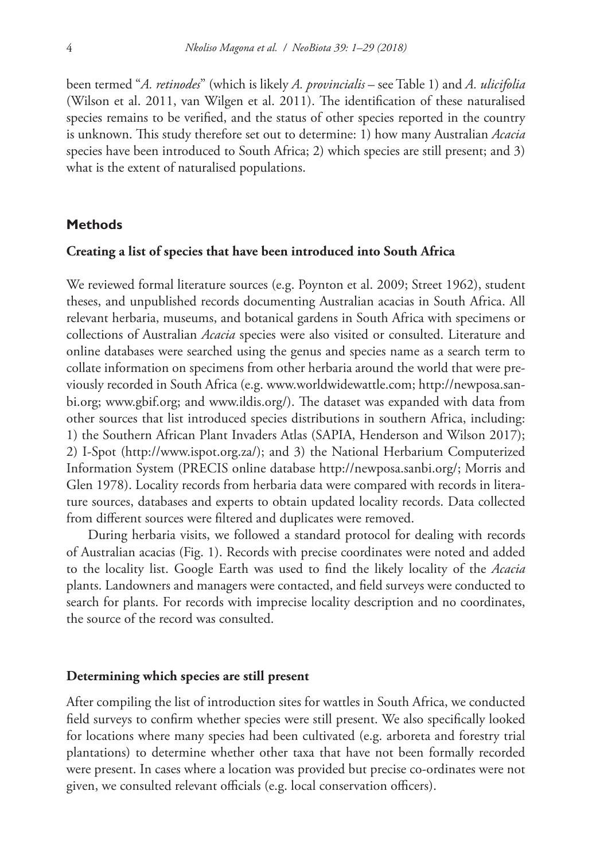been termed "*A. retinodes*" (which is likely *A. provincialis* – see Table 1) and *A. ulicifolia* (Wilson et al. 2011, van Wilgen et al. 2011). The identification of these naturalised species remains to be verified, and the status of other species reported in the country is unknown. This study therefore set out to determine: 1) how many Australian *Acacia* species have been introduced to South Africa; 2) which species are still present; and 3) what is the extent of naturalised populations.

## **Methods**

#### **Creating a list of species that have been introduced into South Africa**

We reviewed formal literature sources (e.g. Poynton et al. 2009; Street 1962), student theses, and unpublished records documenting Australian acacias in South Africa. All relevant herbaria, museums, and botanical gardens in South Africa with specimens or collections of Australian *Acacia* species were also visited or consulted. Literature and online databases were searched using the genus and species name as a search term to collate information on specimens from other herbaria around the world that were previously recorded in South Africa (e.g. [www.worldwidewattle.com;](http://www.worldwidewattle.com) [http://newposa.san](http://newposa.sanbi.org)[bi.org](http://newposa.sanbi.org); [www.gbif.org](http://www.gbif.org); and [www.ildis.org/\)](http://www.ildis.org/). The dataset was expanded with data from other sources that list introduced species distributions in southern Africa, including: 1) the Southern African Plant Invaders Atlas (SAPIA, Henderson and Wilson 2017); 2) I-Spot [\(http://www.ispot.org.za/\)](http://www.ispot.org.za/); and 3) the National Herbarium Computerized Information System (PRECIS online database [http://newposa.sanbi.org/;](http://newposa.sanbi.org/) Morris and Glen 1978). Locality records from herbaria data were compared with records in literature sources, databases and experts to obtain updated locality records. Data collected from different sources were filtered and duplicates were removed.

During herbaria visits, we followed a standard protocol for dealing with records of Australian acacias (Fig. 1). Records with precise coordinates were noted and added to the locality list. Google Earth was used to find the likely locality of the *Acacia* plants. Landowners and managers were contacted, and field surveys were conducted to search for plants. For records with imprecise locality description and no coordinates, the source of the record was consulted.

#### **Determining which species are still present**

After compiling the list of introduction sites for wattles in South Africa, we conducted field surveys to confirm whether species were still present. We also specifically looked for locations where many species had been cultivated (e.g. arboreta and forestry trial plantations) to determine whether other taxa that have not been formally recorded were present. In cases where a location was provided but precise co-ordinates were not given, we consulted relevant officials (e.g. local conservation officers).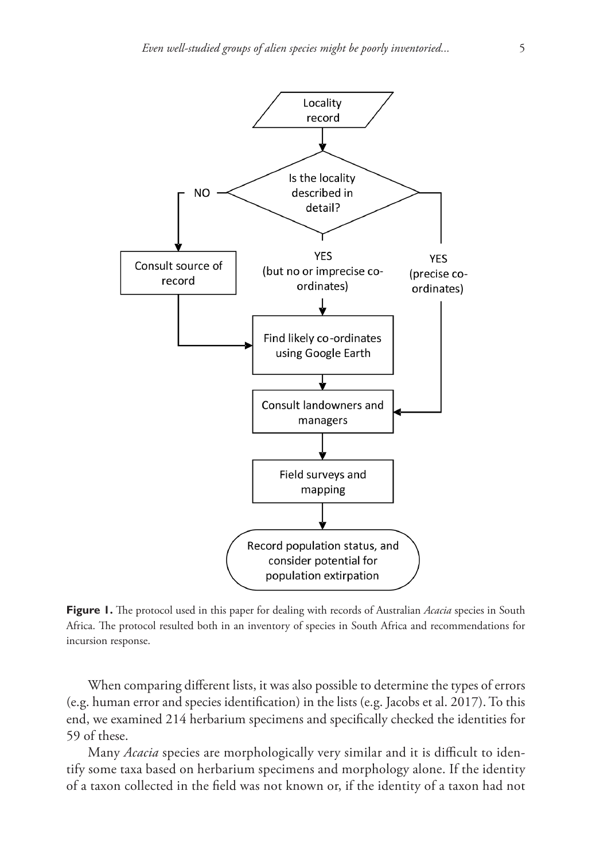

**Figure 1.** The protocol used in this paper for dealing with records of Australian *Acacia* species in South Africa. The protocol resulted both in an inventory of species in South Africa and recommendations for incursion response.

When comparing different lists, it was also possible to determine the types of errors (e.g. human error and species identification) in the lists (e.g. Jacobs et al. 2017). To this end, we examined 214 herbarium specimens and specifically checked the identities for 59 of these.

Many *Acacia* species are morphologically very similar and it is difficult to identify some taxa based on herbarium specimens and morphology alone. If the identity of a taxon collected in the field was not known or, if the identity of a taxon had not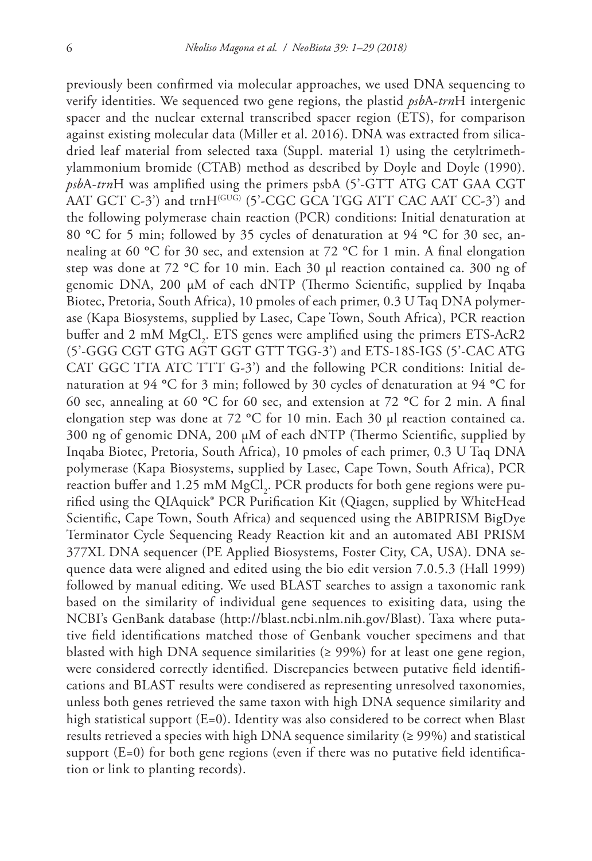previously been confirmed via molecular approaches, we used DNA sequencing to verify identities. We sequenced two gene regions, the plastid *psb*A-*trn*H intergenic spacer and the nuclear external transcribed spacer region (ETS), for comparison against existing molecular data (Miller et al. 2016). DNA was extracted from silicadried leaf material from selected taxa (Suppl. material 1) using the cetyltrimethylammonium bromide (CTAB) method as described by Doyle and Doyle (1990). *psb*A-*trn*H was amplified using the primers psbA (5'-GTT ATG CAT GAA CGT AAT GCT C-3') and trnH<sup>(GUG)</sup> (5'-CGC GCA TGG ATT CAC AAT CC-3') and the following polymerase chain reaction (PCR) conditions: Initial denaturation at 80 **°**C for 5 min; followed by 35 cycles of denaturation at 94 **°**C for 30 sec, annealing at 60 **°**C for 30 sec, and extension at 72 **°**C for 1 min. A final elongation step was done at 72 **°**C for 10 min. Each 30 μl reaction contained ca. 300 ng of genomic DNA, 200 μM of each dNTP (Thermo Scientific, supplied by Inqaba Biotec, Pretoria, South Africa), 10 pmoles of each primer, 0.3 U Taq DNA polymerase (Kapa Biosystems, supplied by Lasec, Cape Town, South Africa), PCR reaction buffer and 2 mM  $MgCl<sub>2</sub>$ . ETS genes were amplified using the primers ETS-AcR2 (5'-GGG CGT GTG AGT GGT GTT TGG-3') and ETS-18S-IGS (5'-CAC ATG CAT GGC TTA ATC TTT G-3') and the following PCR conditions: Initial denaturation at 94 **°**C for 3 min; followed by 30 cycles of denaturation at 94 **°**C for 60 sec, annealing at 60 **°**C for 60 sec, and extension at 72 **°**C for 2 min. A final elongation step was done at 72 **°**C for 10 min. Each 30 μl reaction contained ca. 300 ng of genomic DNA, 200 μM of each dNTP (Thermo Scientific, supplied by Inqaba Biotec, Pretoria, South Africa), 10 pmoles of each primer, 0.3 U Taq DNA polymerase (Kapa Biosystems, supplied by Lasec, Cape Town, South Africa), PCR reaction buffer and 1.25 mM  ${ {\rm MgCl}_2}$ . PCR products for both gene regions were purified using the QIAquick® PCR Purification Kit (Qiagen, supplied by WhiteHead Scientific, Cape Town, South Africa) and sequenced using the ABIPRISM BigDye Terminator Cycle Sequencing Ready Reaction kit and an automated ABI PRISM 377XL DNA sequencer (PE Applied Biosystems, Foster City, CA, USA). DNA sequence data were aligned and edited using the bio edit version 7.0.5.3 (Hall 1999) followed by manual editing. We used BLAST searches to assign a taxonomic rank based on the similarity of individual gene sequences to exisiting data, using the NCBI's GenBank database [\(http://blast.ncbi.nlm.nih.gov/Blast\)](http://blast.ncbi.nlm.nih.gov/Blast). Taxa where putative field identifications matched those of Genbank voucher specimens and that blasted with high DNA sequence similarities ( $\geq$  99%) for at least one gene region, were considered correctly identified. Discrepancies between putative field identifications and BLAST results were condisered as representing unresolved taxonomies, unless both genes retrieved the same taxon with high DNA sequence similarity and high statistical support (E=0). Identity was also considered to be correct when Blast results retrieved a species with high DNA sequence similarity ( $\geq$  99%) and statistical support  $(E=0)$  for both gene regions (even if there was no putative field identification or link to planting records).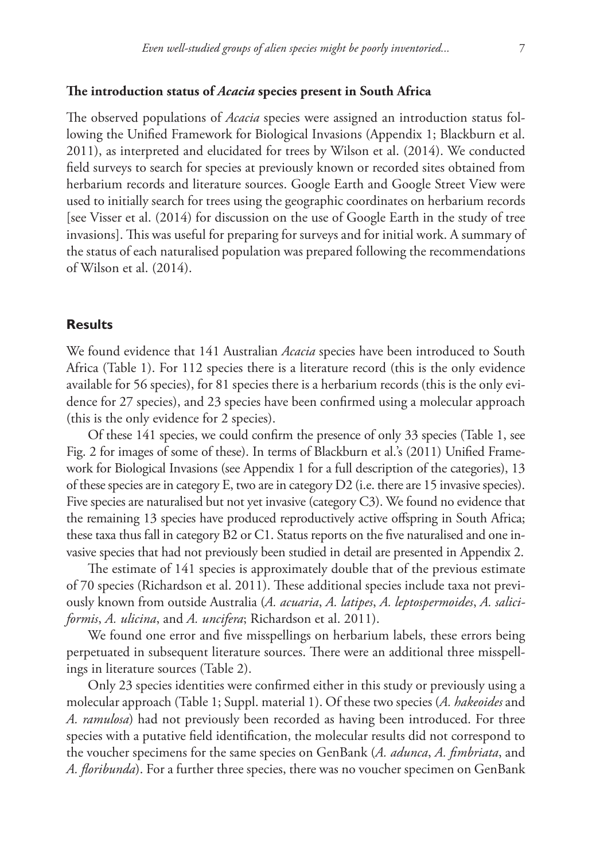## **The introduction status of** *Acacia* **species present in South Africa**

The observed populations of *Acacia* species were assigned an introduction status following the Unified Framework for Biological Invasions (Appendix 1; Blackburn et al. 2011), as interpreted and elucidated for trees by Wilson et al. (2014). We conducted field surveys to search for species at previously known or recorded sites obtained from herbarium records and literature sources. Google Earth and Google Street View were used to initially search for trees using the geographic coordinates on herbarium records [see Visser et al. (2014) for discussion on the use of Google Earth in the study of tree invasions]. This was useful for preparing for surveys and for initial work. A summary of the status of each naturalised population was prepared following the recommendations of Wilson et al. (2014).

## **Results**

We found evidence that 141 Australian *Acacia* species have been introduced to South Africa (Table 1). For 112 species there is a literature record (this is the only evidence available for 56 species), for 81 species there is a herbarium records (this is the only evidence for 27 species), and 23 species have been confirmed using a molecular approach (this is the only evidence for 2 species).

Of these 141 species, we could confirm the presence of only 33 species (Table 1, see Fig. 2 for images of some of these). In terms of Blackburn et al.'s (2011) Unified Framework for Biological Invasions (see Appendix 1 for a full description of the categories), 13 of these species are in category E, two are in category D2 (i.e. there are 15 invasive species). Five species are naturalised but not yet invasive (category C3). We found no evidence that the remaining 13 species have produced reproductively active offspring in South Africa; these taxa thus fall in category B2 or C1. Status reports on the five naturalised and one invasive species that had not previously been studied in detail are presented in Appendix 2.

The estimate of 141 species is approximately double that of the previous estimate of 70 species (Richardson et al. 2011). These additional species include taxa not previously known from outside Australia (*A. acuaria*, *A. latipes*, *A. leptospermoides*, *A. saliciformis*, *A. ulicina*, and *A. uncifera*; Richardson et al. 2011).

We found one error and five misspellings on herbarium labels, these errors being perpetuated in subsequent literature sources. There were an additional three misspellings in literature sources (Table 2).

Only 23 species identities were confirmed either in this study or previously using a molecular approach (Table 1; Suppl. material 1). Of these two species (*A. hakeoides* and *A. ramulosa*) had not previously been recorded as having been introduced. For three species with a putative field identification, the molecular results did not correspond to the voucher specimens for the same species on GenBank (*A. adunca*, *A. fimbriata*, and *A. floribunda*). For a further three species, there was no voucher specimen on GenBank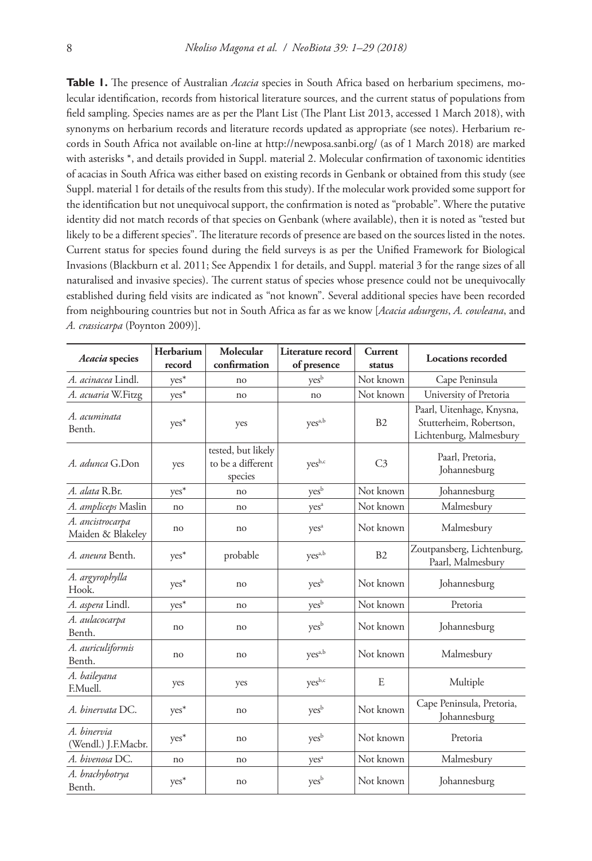**Table 1.** The presence of Australian *Acacia* species in South Africa based on herbarium specimens, molecular identification, records from historical literature sources, and the current status of populations from field sampling. Species names are as per the Plant List (The Plant List 2013, accessed 1 March 2018), with synonyms on herbarium records and literature records updated as appropriate (see notes). Herbarium records in South Africa not available on-line at <http://newposa.sanbi.org/> (as of 1 March 2018) are marked with asterisks \*, and details provided in Suppl. material 2. Molecular confirmation of taxonomic identities of acacias in South Africa was either based on existing records in Genbank or obtained from this study (see Suppl. material 1 for details of the results from this study). If the molecular work provided some support for the identification but not unequivocal support, the confirmation is noted as "probable". Where the putative identity did not match records of that species on Genbank (where available), then it is noted as "tested but likely to be a different species". The literature records of presence are based on the sources listed in the notes. Current status for species found during the field surveys is as per the Unified Framework for Biological Invasions (Blackburn et al. 2011; See Appendix 1 for details, and Suppl. material 3 for the range sizes of all naturalised and invasive species). The current status of species whose presence could not be unequivocally established during field visits are indicated as "not known". Several additional species have been recorded from neighbouring countries but not in South Africa as far as we know [*Acacia adsurgens*, *A. cowleana*, and *A. crassicarpa* (Poynton 2009)].

| Acacia species                        | Herbarium<br>record | Molecular<br>confirmation                          | Literature record<br>of presence | Current<br>status | <b>Locations</b> recorded                                                       |
|---------------------------------------|---------------------|----------------------------------------------------|----------------------------------|-------------------|---------------------------------------------------------------------------------|
| A. acinacea Lindl.                    | yes*                | no                                                 | $\mathrm{ves}^{\mathrm{b}}$      | Not known         | Cape Peninsula                                                                  |
| A. acuaria W.Fitzg                    | $yes^*$             | no                                                 | no                               | Not known         | University of Pretoria                                                          |
| A. acuminata<br>Benth.                | $yes*$              | yes                                                | yes <sup>a,b</sup>               | B2                | Paarl, Uitenhage, Knysna,<br>Stutterheim, Robertson,<br>Lichtenburg, Malmesbury |
| A. adunca G.Don                       | yes                 | tested, but likely<br>to be a different<br>species | yesb,c                           | C <sub>3</sub>    | Paarl, Pretoria,<br>Johannesburg                                                |
| A. alata R.Br.                        | $yes^*$             | no                                                 | yes <sup>b</sup>                 | Not known         | Johannesburg                                                                    |
| A. ampliceps Maslin                   | no                  | no                                                 | yes <sup>a</sup>                 | Not known         | Malmesbury                                                                      |
| A. ancistrocarpa<br>Maiden & Blakeley | no                  | no                                                 | yes <sup>a</sup>                 | Not known         | Malmesbury                                                                      |
| A. aneura Benth.                      | yes*                | probable                                           | yes <sup>a,b</sup>               | B2                | Zoutpansberg, Lichtenburg,<br>Paarl, Malmesbury                                 |
| A. argyrophylla<br>Hook.              | yes*                | no                                                 | yes <sup>b</sup>                 | Not known         | Johannesburg                                                                    |
| A. aspera Lindl.                      | $yes^*$             | no                                                 | yes <sup>b</sup>                 | Not known         | Pretoria                                                                        |
| A. aulacocarpa<br>Benth.              | no                  | no                                                 | yes <sup>b</sup>                 | Not known         | Johannesburg                                                                    |
| A. auriculiformis<br>Benth.           | no                  | no                                                 | $yes$ <sup>a,b</sup>             | Not known         | Malmesbury                                                                      |
| A. baileyana<br>F.Muell.              | yes                 | yes                                                | $ves^{b,c}$                      | E                 | Multiple                                                                        |
| A. binervata DC.                      | $yes^*$             | no                                                 | yes <sup>b</sup>                 | Not known         | Cape Peninsula, Pretoria,<br>Johannesburg                                       |
| A. binervia<br>(Wendl.) J.F.Macbr.    | yes*                | no                                                 | yes <sup>b</sup>                 | Not known         | Pretoria                                                                        |
| A. bivenosa DC.                       | no                  | no                                                 | yes <sup>a</sup>                 | Not known         | Malmesbury                                                                      |
| A. brachybotrya<br>Benth.             | $yes^*$             | no                                                 | yes <sup>b</sup>                 | Not known         | Johannesburg                                                                    |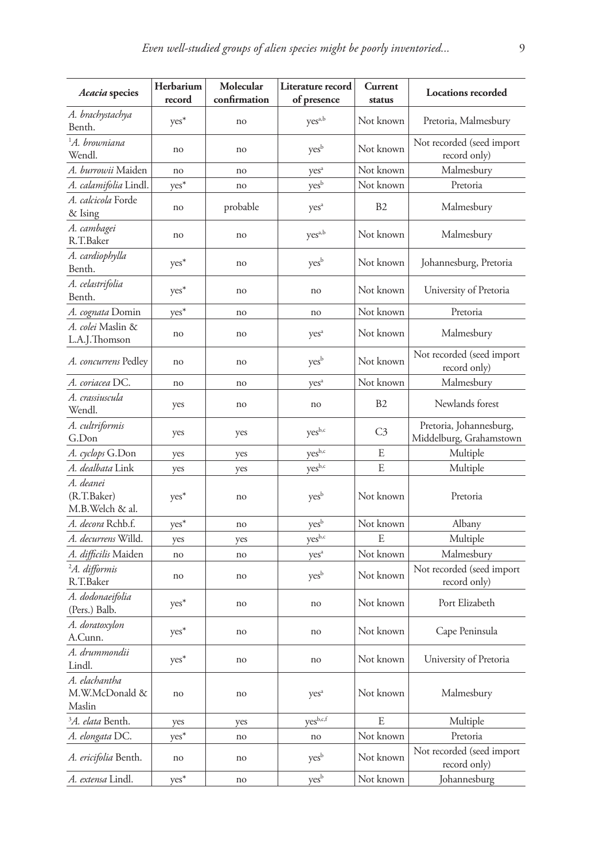| Acacia species                              | Herbarium<br>record | Molecular<br>confirmation | Literature record<br>of presence | Current<br>status | <b>Locations recorded</b>                          |
|---------------------------------------------|---------------------|---------------------------|----------------------------------|-------------------|----------------------------------------------------|
| A. brachystachya<br>Benth.                  | $yes^*$             | no                        | yes <sup>a,b</sup>               | Not known         | Pretoria, Malmesbury                               |
| <sup>1</sup> A. browniana<br>Wendl.         | no                  | no                        | yes <sup>b</sup>                 | Not known         | Not recorded (seed import<br>record only)          |
| A. burrowii Maiden                          | no                  | no                        | yes <sup>a</sup>                 | Not known         | Malmesbury                                         |
| A. calamifolia Lindl.                       | $yes*$              | no                        | yes <sup>b</sup>                 | Not known         | Pretoria                                           |
| <i>A. calcicola</i> Forde<br>& Ising        | no                  | probable                  | yes <sup>a</sup>                 | B <sub>2</sub>    | Malmesbury                                         |
| A. cambagei<br>R.T.Baker                    | no                  | no                        | yes <sup>a,b</sup>               | Not known         | Malmesbury                                         |
| A. cardiophylla<br>Benth.                   | yes*                | no                        | yes <sup>b</sup>                 | Not known         | Johannesburg, Pretoria                             |
| A. celastrifolia<br>Benth.                  | yes*                | no                        | no                               | Not known         | University of Pretoria                             |
| A. cognata Domin                            | $yes*$              | no                        | no                               | Not known         | Pretoria                                           |
| <i>A. colei</i> Maslin &<br>L.A.J.Thomson   | no                  | no                        | yes <sup>a</sup>                 | Not known         | Malmesbury                                         |
| A. concurrens Pedley                        | no                  | no                        | yes <sup>b</sup>                 | Not known         | Not recorded (seed import<br>record only)          |
| A. coriacea DC.                             | no                  | no                        | yes <sup>a</sup>                 | Not known         | Malmesbury                                         |
| A. crassiuscula<br>Wendl.                   | yes                 | no                        | no                               | <b>B2</b>         | Newlands forest                                    |
| A. cultriformis<br>G.Don                    | yes                 | yes                       | yes <sup>b,c</sup>               | C <sub>3</sub>    | Pretoria, Johannesburg,<br>Middelburg, Grahamstown |
| A. cyclops G.Don                            | yes                 | yes                       | yes <sup>b,c</sup>               | E                 | Multiple                                           |
| A. dealbata Link                            | yes                 | yes                       | yesb,c                           | E                 | Multiple                                           |
| A. deanei<br>(R.T.Baker)<br>M.B.Welch & al. | yes <sup>*</sup>    | no                        | yes <sup>b</sup>                 | Not known         | Pretoria                                           |
| A. decora Rchb.f.                           | $yes*$              | no                        | yes <sup>b</sup>                 | Not known         | Albany                                             |
| A. decurrens Willd.                         | yes                 | yes                       | yesb,c                           | E                 | Multiple                                           |
| A. difficilis Maiden                        | no                  | no                        | yes <sup>a</sup>                 | Not known         | Malmesbury                                         |
| <sup>2</sup> A. difformis<br>R.T.Baker      | no                  | no                        | yes <sup>b</sup>                 | Not known         | Not recorded (seed import<br>record only)          |
| A. dodonaeifolia<br>(Pers.) Balb.           | yes <sup>*</sup>    | no                        | no                               | Not known         | Port Elizabeth                                     |
| A. doratoxylon<br>A.Cunn.                   | yes <sup>*</sup>    | no                        | no                               | Not known         | Cape Peninsula                                     |
| A. drummondii<br>Lindl.                     | yes*                | no                        | no                               | Not known         | University of Pretoria                             |
| A. elachantha<br>M.W.McDonald &<br>Maslin   | no                  | no                        | yes <sup>a</sup>                 | Not known         | Malmesbury                                         |
| <sup>3</sup> A. elata Benth.                | yes                 | yes                       | $ves^{b,c,f}$                    | E                 | Multiple                                           |
| A. elongata DC.                             | $yes^*$             | no                        | no                               | Not known         | Pretoria                                           |
| A. ericifolia Benth.                        | no                  | no                        | yes <sup>b</sup>                 | Not known         | Not recorded (seed import<br>record only)          |
| A. extensa Lindl.                           | $yes^*$             | no                        | yes <sup>b</sup>                 | Not known         | Johannesburg                                       |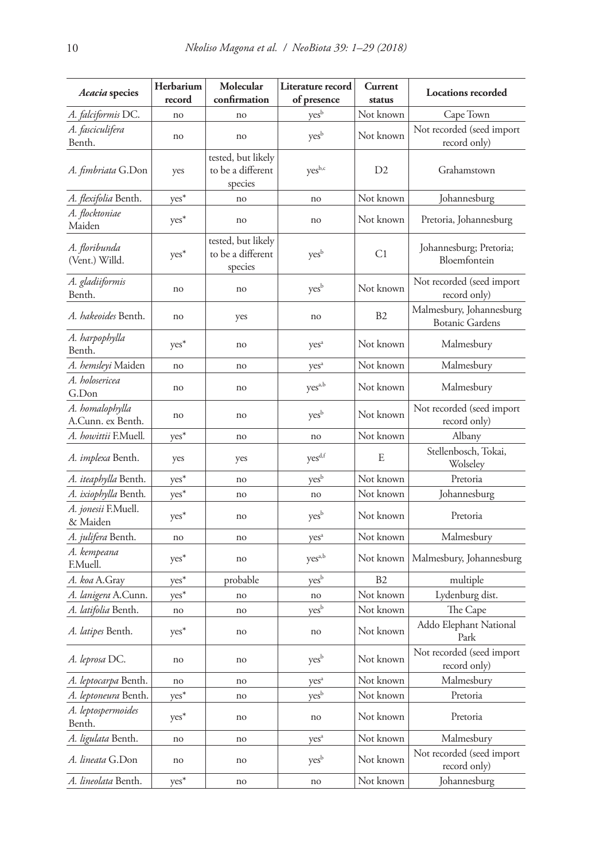| Acacia species                         | Herbarium        | Molecular                                          | Literature record           | Current        | <b>Locations</b> recorded                          |
|----------------------------------------|------------------|----------------------------------------------------|-----------------------------|----------------|----------------------------------------------------|
|                                        | record           | confirmation                                       | of presence                 | status         |                                                    |
| A. falciformis DC.                     | no               | no                                                 | $\mathrm{yes}^{\mathrm{b}}$ | Not known      | Cape Town                                          |
| A. fasciculifera<br>Benth.             | no               | no                                                 | yes <sup>b</sup>            | Not known      | Not recorded (seed import<br>record only)          |
| A. fimbriata G.Don                     | yes              | tested, but likely<br>to be a different<br>species | yesb,c                      | D2             | Grahamstown                                        |
| A. <i>flexifolia</i> Benth.            | ${\rm yes}^*$    | no                                                 | no                          | Not known      | Johannesburg                                       |
| A. flocktoniae<br>Maiden               | yes <sup>*</sup> | no                                                 | no                          | Not known      | Pretoria, Johannesburg                             |
| A. floribunda<br>(Vent.) Willd.        | $yes*$           | tested, but likely<br>to be a different<br>species | yes <sup>b</sup>            | C1             | Johannesburg; Pretoria;<br>Bloemfontein            |
| A. gladiiformis<br>Benth.              | no               | no                                                 | yes <sup>b</sup>            | Not known      | Not recorded (seed import<br>record only)          |
| A. hakeoides Benth.                    | no               | yes                                                | no                          | <b>B2</b>      | Malmesbury, Johannesburg<br><b>Botanic Gardens</b> |
| A. harpophylla<br>Benth.               | yes*             | no                                                 | yes <sup>a</sup>            | Not known      | Malmesbury                                         |
| A. hemsleyi Maiden                     | no               | no                                                 | yes <sup>a</sup>            | Not known      | Malmesbury                                         |
| A. holosericea<br>G.Don                | no               | no                                                 | yes <sup>a,b</sup>          | Not known      | Malmesbury                                         |
| A. homalophylla<br>A.Cunn. ex Benth.   | no               | no                                                 | yes <sup>b</sup>            | Not known      | Not recorded (seed import<br>record only)          |
| <i>A. howittii</i> F.Muell.            | yes*             | no                                                 | no                          | Not known      | Albany                                             |
| A. implexa Benth.                      | yes              | yes                                                | yes <sup>d,f</sup>          | E              | Stellenbosch, Tokai,<br>Wolseley                   |
| A. iteaphylla Benth.                   | yes*             | no                                                 | yes <sup>b</sup>            | Not known      | Pretoria                                           |
| A. ixiophylla Benth.                   | $yes^*$          | no                                                 | no                          | Not known      | Johannesburg                                       |
| <i>A. jonesii</i> F.Muell.<br>& Maiden | $yes*$           | no                                                 | yes <sup>b</sup>            | Not known      | Pretoria                                           |
| A. julifera Benth.                     | no               | no                                                 | yes <sup>a</sup>            | Not known      | Malmesbury                                         |
| A. kempeana<br>F.Muell.                | yes*             | no                                                 | yes <sup>a,b</sup>          | Not known      | Malmesbury, Johannesburg                           |
| A. koa A.Gray                          | yes*             | probable                                           | yes <sup>b</sup>            | B <sub>2</sub> | multiple                                           |
| A. lanigera A.Cunn.                    | yes*             | no                                                 | no                          | Not known      | Lydenburg dist.                                    |
| A. latifolia Benth.                    | no               | no                                                 | yes <sup>b</sup>            | Not known      | The Cape                                           |
| A. latipes Benth.                      | yes*             | no                                                 | no                          | Not known      | Addo Elephant National<br>Park                     |
| A. leprosa DC.                         | no               | no                                                 | yes <sup>b</sup>            | Not known      | Not recorded (seed import<br>record only)          |
| A. leptocarpa Benth.                   | no               | no                                                 | yes <sup>a</sup>            | Not known      | Malmesbury                                         |
| A. leptoneura Benth.                   | yes*             | no                                                 | yes <sup>b</sup>            | Not known      | Pretoria                                           |
| A. leptospermoides<br>Benth.           | yes*             | no                                                 | no                          | Not known      | Pretoria                                           |
| A. ligulata Benth.                     | no               | no                                                 | $yes^a$                     | Not known      | Malmesbury                                         |
| A. lineata G.Don                       | no               | no                                                 | yes <sup>b</sup>            | Not known      | Not recorded (seed import<br>record only)          |
| A. lineolata Benth.                    | $yes^*$          | no                                                 | no                          | Not known      | Johannesburg                                       |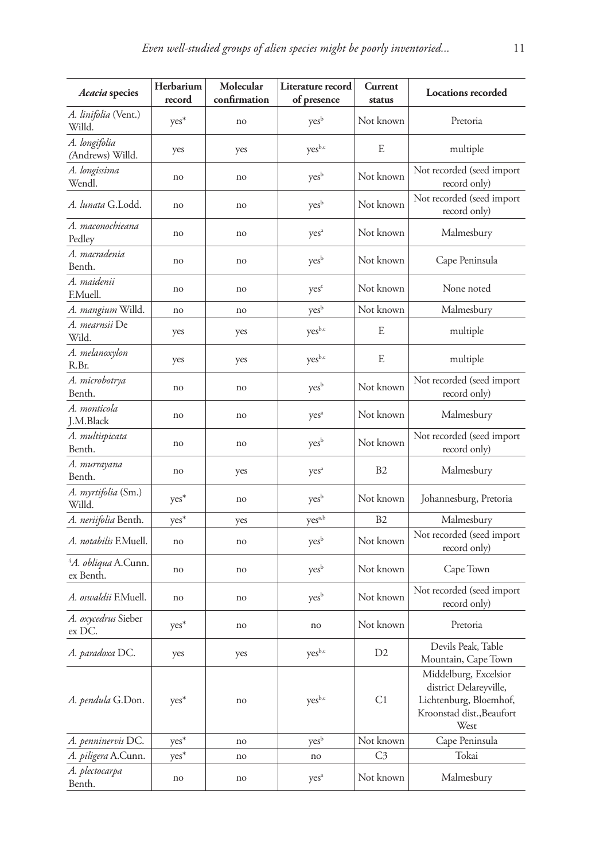| Acacia species                                      | Herbarium<br>record | Molecular<br>confirmation | Literature record<br>of presence | Current<br>status | <b>Locations recorded</b>                                                                                      |
|-----------------------------------------------------|---------------------|---------------------------|----------------------------------|-------------------|----------------------------------------------------------------------------------------------------------------|
| A. <i>linifolia</i> (Vent.)<br>Willd.               | $yes*$              | no                        | yes <sup>b</sup>                 | Not known         | Pretoria                                                                                                       |
| A. longifolia<br>(Andrews) Willd.                   | yes                 | yes                       | yes <sup>b,c</sup>               | E                 | multiple                                                                                                       |
| A. longissima<br>Wendl.                             | no                  | no                        | yes <sup>b</sup>                 | Not known         | Not recorded (seed import<br>record only)                                                                      |
| <i>A. lunata</i> G.Lodd.                            | no                  | no                        | yes <sup>b</sup>                 | Not known         | Not recorded (seed import<br>record only)                                                                      |
| A. maconochieana<br>Pedley                          | no                  | no                        | yes <sup>a</sup>                 | Not known         | Malmesbury                                                                                                     |
| A. macradenia<br>Benth.                             | no                  | no                        | yes <sup>b</sup>                 | Not known         | Cape Peninsula                                                                                                 |
| A. maidenii<br>F.Muell.                             | no                  | no                        | yes <sup>c</sup>                 | Not known         | None noted                                                                                                     |
| A. mangium Willd.                                   | no                  | no                        | yes <sup>b</sup>                 | Not known         | Malmesbury                                                                                                     |
| A. <i>mearnsii</i> De<br>Wild.                      | yes                 | yes                       | yesb,c                           | E                 | multiple                                                                                                       |
| A. melanoxylon<br>R.Br.                             | yes                 | yes                       | yes <sup>b,c</sup>               | E                 | multiple                                                                                                       |
| A. microbotrya<br>Benth.                            | no                  | no                        | yes <sup>b</sup>                 | Not known         | Not recorded (seed import<br>record only)                                                                      |
| A. monticola<br>J.M.Black                           | no                  | no                        | yes <sup>a</sup>                 | Not known         | Malmesbury                                                                                                     |
| A. multispicata<br>Benth.                           | no                  | no                        | yes <sup>b</sup>                 | Not known         | Not recorded (seed import<br>record only)                                                                      |
| A. murrayana<br>Benth.                              | no                  | yes                       | yes <sup>a</sup>                 | B <sub>2</sub>    | Malmesbury                                                                                                     |
| A. myrtifolia (Sm.)<br>Willd.                       | yes <sup>*</sup>    | no                        | yes <sup>b</sup>                 | Not known         | Johannesburg, Pretoria                                                                                         |
| A. neriifolia Benth.                                | $yes*$              | yes                       | yes <sup>a,b</sup>               | B <sub>2</sub>    | Malmesbury                                                                                                     |
| <i>A. notabilis</i> F.Muell.                        | no                  | no                        | yes <sup>b</sup>                 | Not known         | Not recorded (seed import<br>record only)                                                                      |
| <sup>4</sup> A. <i>obliqua</i> A.Cunn.<br>ex Benth. | no                  | no                        | yes <sup>b</sup>                 | Not known         | Cape Town                                                                                                      |
| A. oswaldii F.Muell.                                | no                  | no                        | yes <sup>b</sup>                 | Not known         | Not recorded (seed import<br>record only)                                                                      |
| A. oxycedrus Sieber<br>ex DC.                       | yes <sup>*</sup>    | no                        | no                               | Not known         | Pretoria                                                                                                       |
| A. paradoxa DC.                                     | yes                 | yes                       | yesb,c                           | D <sub>2</sub>    | Devils Peak, Table<br>Mountain, Cape Town                                                                      |
| A. pendula G.Don.                                   | $yes*$              | no                        | yesb,c                           | C1                | Middelburg, Excelsior<br>district Delareyville,<br>Lichtenburg, Bloemhof,<br>Kroonstad dist., Beaufort<br>West |
| A. penninervis DC.                                  | $yes^*$             | no                        | $\mathrm{yes}^{\mathrm{b}}$      | Not known         | Cape Peninsula                                                                                                 |
| A. piligera A.Cunn.                                 | $yes^*$             | no                        | no                               | C <sub>3</sub>    | Tokai                                                                                                          |
| A. plectocarpa<br>Benth.                            | no                  | no                        | yes <sup>a</sup>                 | Not known         | Malmesbury                                                                                                     |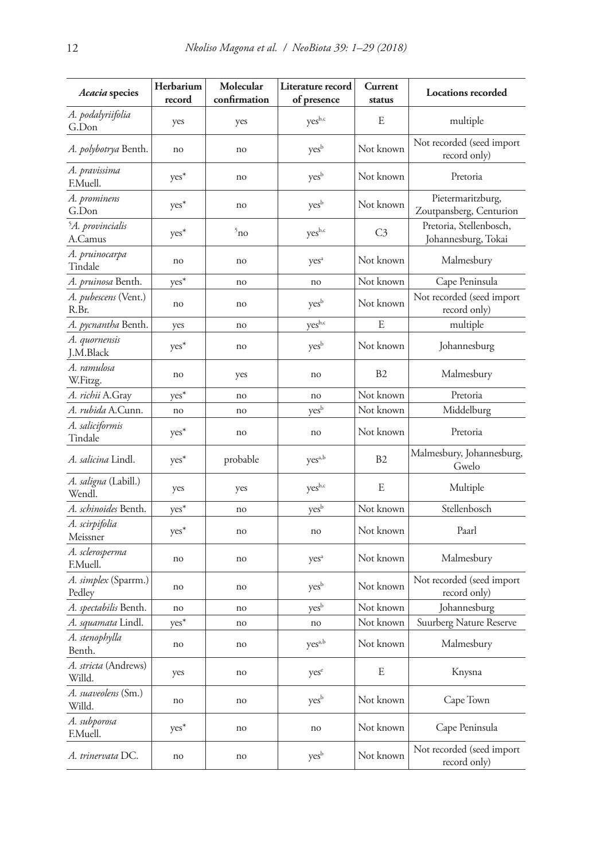| Acacia species                          | Herbarium<br>record | Molecular<br>confirmation | Literature record<br>of presence | Current<br>status | <b>Locations recorded</b>                      |
|-----------------------------------------|---------------------|---------------------------|----------------------------------|-------------------|------------------------------------------------|
| A. podalyriifolia<br>G.Don              | yes                 | yes                       | yes <sup>b,c</sup>               | E                 | multiple                                       |
| A. polybotrya Benth.                    | no                  | no                        | yes <sup>b</sup>                 | Not known         | Not recorded (seed import<br>record only)      |
| A. pravissima<br>F.Muell.               | yes <sup>*</sup>    | no                        | yes <sup>b</sup>                 | Not known         | Pretoria                                       |
| A. prominens<br>G.Don                   | yes <sup>*</sup>    | no                        | yes <sup>b</sup>                 | Not known         | Pietermaritzburg,<br>Zoutpansberg, Centurion   |
| <sup>5</sup> A. provincialis<br>A.Camus | yes*                | 5 <sub>no</sub>           | yes <sub>b,c</sub>               | C3                | Pretoria, Stellenbosch,<br>Johannesburg, Tokai |
| A. pruinocarpa<br>Tindale               | no                  | no                        | yes <sup>a</sup>                 | Not known         | Malmesbury                                     |
| A. pruinosa Benth.                      | $yes*$              | no                        | no                               | Not known         | Cape Peninsula                                 |
| A. pubescens (Vent.)<br>R.Br.           | no                  | no                        | yes <sup>b</sup>                 | Not known         | Not recorded (seed import<br>record only)      |
| A. pycnantha Benth.                     | yes                 | no                        | yes <sup>b,c</sup>               | E                 | multiple                                       |
| A. quornensis<br>J.M.Black              | $yes*$              | no                        | yes <sup>b</sup>                 | Not known         | Johannesburg                                   |
| A. ramulosa<br>W.Fitzg.                 | no                  | yes                       | no                               | B <sub>2</sub>    | Malmesbury                                     |
| A. richii A.Gray                        | $yes^*$             | no                        | no                               | Not known         | Pretoria                                       |
| <i>A. rubida</i> A.Cunn.                | no                  | no                        | yes <sup>b</sup>                 | Not known         | Middelburg                                     |
| A. saliciformis<br>Tindale              | yes*                | no                        | no                               | Not known         | Pretoria                                       |
| <i>A. salicina</i> Lindl.               | $yes^*$             | probable                  | yes <sup>a,b</sup>               | <b>B2</b>         | Malmesbury, Johannesburg,<br>Gwelo             |
| A. saligna (Labill.)<br>Wendl.          | yes                 | yes                       | yesb,c                           | E                 | Multiple                                       |
| A. schinoides Benth.                    | $yes*$              | no                        | yes <sup>b</sup>                 | Not known         | Stellenbosch                                   |
| A. scirpifolia<br>Meissner              | $yes*$              | no                        | no                               | Not known         | Paarl                                          |
| A. sclerosperma<br>F.Muell.             | no                  | no                        | yes <sup>a</sup>                 | Not known         | Malmesbury                                     |
| A. simplex (Sparrm.)<br>Pedley          | no                  | no                        | yes <sup>b</sup>                 | Not known         | Not recorded (seed import<br>record only)      |
| A. spectabilis Benth.                   | no                  | no                        | yes <sup>b</sup>                 | Not known         | Johannesburg                                   |
| A. squamata Lindl.                      | yes*                | no                        | no                               | Not known         | Suurberg Nature Reserve                        |
| A. stenophylla<br>Benth.                | no                  | no                        | ${\rm yes}^{\rm a,b}$            | Not known         | Malmesbury                                     |
| A. stricta (Andrews)<br>Willd.          | yes                 | no                        | yes <sup>e</sup>                 | E                 | Knysna                                         |
| A. suaveolens (Sm.)<br>Willd.           | no                  | no                        | yes <sup>b</sup>                 | Not known         | Cape Town                                      |
| A. subporosa<br>F.Muell.                | $yes^*$             | no                        | no                               | Not known         | Cape Peninsula                                 |
| A. trinervata DC.                       | no                  | no                        | yes <sup>b</sup>                 | Not known         | Not recorded (seed import<br>record only)      |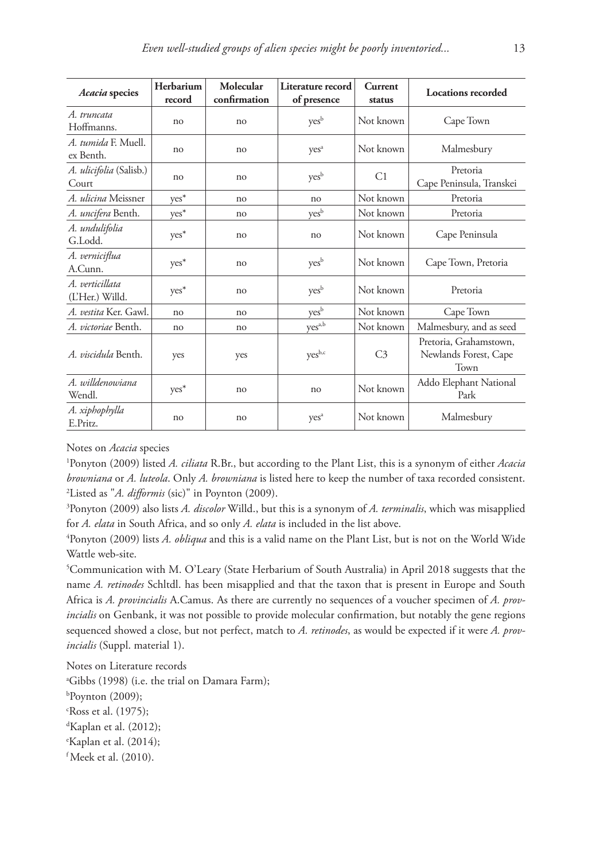| Acacia species                     | Herbarium<br>record | Molecular<br>confirmation | Literature record<br>of presence | Current<br>status | <b>Locations recorded</b>                               |
|------------------------------------|---------------------|---------------------------|----------------------------------|-------------------|---------------------------------------------------------|
| A. truncata<br>Hoffmanns.          | no                  | no                        | yes <sup>b</sup>                 | Not known         | Cape Town                                               |
| A. tumida F. Muell.<br>ex Benth.   | no                  | no                        | yes <sup>a</sup>                 | Not known         | Malmesbury                                              |
| A. ulicifolia (Salisb.)<br>Court   | no                  | no                        | yes <sup>b</sup>                 | C1                | Pretoria<br>Cape Peninsula, Transkei                    |
| A. ulicina Meissner                | yes*                | n <sub>0</sub>            | no                               | Not known         | Pretoria                                                |
| A. uncifera Benth.                 | ${\rm yes}^*$       | no                        | yes <sup>b</sup>                 | Not known         | Pretoria                                                |
| A. undulifolia<br>G.Lodd.          | yes*                | no                        | no                               | Not known         | Cape Peninsula                                          |
| A. verniciflua<br>A.Cunn.          | yes*                | no                        | yes <sup>b</sup>                 | Not known         | Cape Town, Pretoria                                     |
| A. verticillata<br>(L'Her.) Willd. | $yes^*$             | no                        | yes <sup>b</sup>                 | Not known         | Pretoria                                                |
| A. vestita Ker. Gawl.              | no                  | no                        | yes <sup>b</sup>                 | Not known         | Cape Town                                               |
| A. victoriae Benth.                | no                  | no                        | yes <sup>a,b</sup>               | Not known         | Malmesbury, and as seed                                 |
| A. viscidula Benth.                | yes                 | yes                       | yes <sup>b,c</sup>               | C <sub>3</sub>    | Pretoria, Grahamstown,<br>Newlands Forest, Cape<br>Town |
| A. willdenowiana<br>Wendl.         | yes*                | no                        | no                               | Not known         | Addo Elephant National<br>Park                          |
| A. xiphophylla<br>E.Pritz.         | no                  | no                        | yes <sup>a</sup>                 | Not known         | Malmesbury                                              |

Notes on *Acacia* species

1 Ponyton (2009) listed *A. ciliata* R.Br., but according to the Plant List, this is a synonym of either *Acacia browniana* or *A. luteola*. Only *A. browniana* is listed here to keep the number of taxa recorded consistent. 2 Listed as "*A. difformis* (sic)" in Poynton (2009).

3 Ponyton (2009) also lists *A. discolor* Willd., but this is a synonym of *A. terminalis*, which was misapplied for *A. elata* in South Africa, and so only *A. elata* is included in the list above.

4 Ponyton (2009) lists *A. obliqua* and this is a valid name on the Plant List, but is not on the World Wide Wattle web-site.

5 Communication with M. O'Leary (State Herbarium of South Australia) in April 2018 suggests that the name *A. retinodes* Schltdl. has been misapplied and that the taxon that is present in Europe and South Africa is *A. provincialis* A.Camus. As there are currently no sequences of a voucher specimen of *A. provincialis* on Genbank, it was not possible to provide molecular confirmation, but notably the gene regions sequenced showed a close, but not perfect, match to *A. retinodes*, as would be expected if it were *A. provincialis* (Suppl. material 1).

Notes on Literature records

a Gibbs (1998) (i.e. the trial on Damara Farm); b Poynton (2009); c Ross et al. (1975); d Kaplan et al. (2012); e Kaplan et al. (2014); f Meek et al. (2010).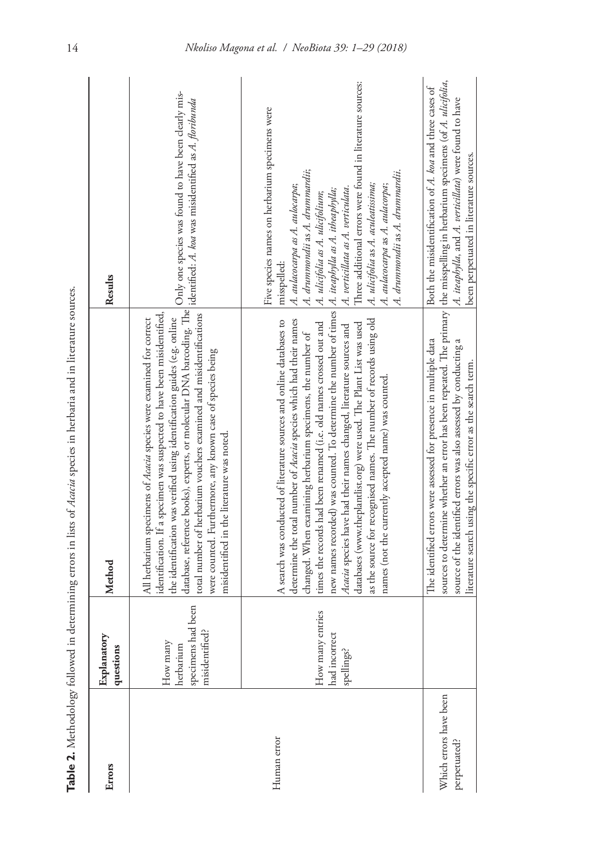|                                        |                                                                  | Table 2. Methodology followed in determining errors in lists of Atateia species in herbaria and in literature sources.                                                                                                                                                                                                                                                                                                                                                                                                                                                                                                                                              |                                                                                                                                                                                                                                                                                                                                                                                        |
|----------------------------------------|------------------------------------------------------------------|---------------------------------------------------------------------------------------------------------------------------------------------------------------------------------------------------------------------------------------------------------------------------------------------------------------------------------------------------------------------------------------------------------------------------------------------------------------------------------------------------------------------------------------------------------------------------------------------------------------------------------------------------------------------|----------------------------------------------------------------------------------------------------------------------------------------------------------------------------------------------------------------------------------------------------------------------------------------------------------------------------------------------------------------------------------------|
| Errors                                 | Explanatory<br>questions                                         | Method                                                                                                                                                                                                                                                                                                                                                                                                                                                                                                                                                                                                                                                              | Results                                                                                                                                                                                                                                                                                                                                                                                |
|                                        | had been<br>misidentified?<br>How many<br>herbarium<br>specimens | un wannamento<br>database, reference books), experts, or molecular DNA barcoding. The vary one species  and as <i>A. floribunda</i><br>jidentified: <i>A. koa</i> was misidentified as <i>A. floribunda</i><br>total number of herbarium vouchers examined and misidentifications<br>identification. If a specimen was suspected to have been misidentified,<br>the identification was verified using identification guides (e.g. online<br>All herbarium specimens of Acacia species were examined for correct<br>were counted. Furthermore, any known case of species being<br>misidentified in the literature was noted.                                         | Only one species was found to have been clearly mis-                                                                                                                                                                                                                                                                                                                                   |
| Human error                            | How many entries<br>had incorrect<br>spellings?                  | new names recorded) was counted. To determine the number of times   A. iteaphylla as A. itheaphylla;<br>times the records had been renamed (i.e. old names crossed out and<br>A search was conducted of literature sources and online databases to<br>as the source for recognised names. The number of records using old<br>determine the total number of Acacia species which had their names<br>databases (www.theplantlist.org) were used. The Plant List was used<br>Acacia species have had their names changed, literature sources and<br>changed. When examining herbarium specimens, the number of<br>names (not the currently accepted name) was counted. | Three additional errors were found in literature sources:<br>Five species names on herbarium specimens were<br>A. drummondii as A. drummardii;<br>A. drummondii as A. drummardii.<br>A. ulicifolia as A. aculeatissima;<br>A. aulacocarpa as A. aulocarpa;<br>A. aulacocarpa as A. aulacorpa;<br>A. verticillata as A. verticulata.<br>A. ulicifolia as A. ulicifolium;<br>misspelled: |
| Which errors have been<br>perpetuated? |                                                                  | sources to determine whether an error has been repeated. The primary   the misspelling in herbarium specimens (of A. ulicifolia,<br>The identified errors were assessed for presence in multiple data<br>source of the identified errors was also assessed by conducting a<br>literature search using the specific error as the search term.                                                                                                                                                                                                                                                                                                                        | Both the misidentification of A. koa and three cases of<br>A. iteaphylla, and A. verticillata) were found to have<br>been perpetuated in literature sources.                                                                                                                                                                                                                           |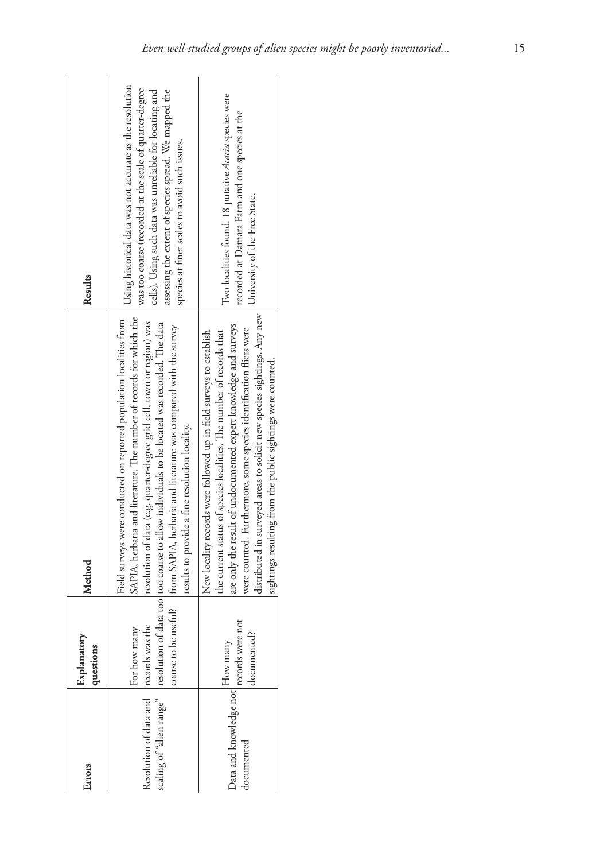| Errors                                                             | Explanatory<br>questions | Method                                                                                                                                                                                                                                                                                                                                                                                                                                                           | Results                                                                                                                                                                                                                                                                                  |
|--------------------------------------------------------------------|--------------------------|------------------------------------------------------------------------------------------------------------------------------------------------------------------------------------------------------------------------------------------------------------------------------------------------------------------------------------------------------------------------------------------------------------------------------------------------------------------|------------------------------------------------------------------------------------------------------------------------------------------------------------------------------------------------------------------------------------------------------------------------------------------|
| Resolution of data and records was the<br>scaling of "alien range" | For how many             | SAPIA, herbaria and literature. The number of records for which the<br>Field surveys were conducted on reported population localities from<br>resolution of data (e.g. quarter-degree grid cell, town or region) was<br>resolution of data too too coarse to allow individuals to be located was recorded. The data<br>coarse to be useful?   from SAPIA, herbaria and literature was compared with the survey<br>results to provide a fine resolution locality. | Using historical data was not accurate as the resolution<br>was too coarse (recorded at the scale of quarter-degree<br>assessing the extent of species spread. We mapped the<br>cells). Using such data was unreliable for locating and<br>species at finer scales to avoid such issues. |
| Data and knowledge not How many<br>1.<br>documented                | documented?              | distributed in surveyed areas to solicit new species sightings. Any new<br>are only the result of undocumented expert knowledge and surveys<br>were counted. Furthermore, some species identification fliers were<br>New locality records were followed up in field surveys to establish<br>the current status of species localities. The number of records that<br>sightings resulting from the public sightings were counted.                                  | Two localities found. 18 putative Acacia species were<br>recorded at Damara Farm and one species at the<br>University of the Free State.                                                                                                                                                 |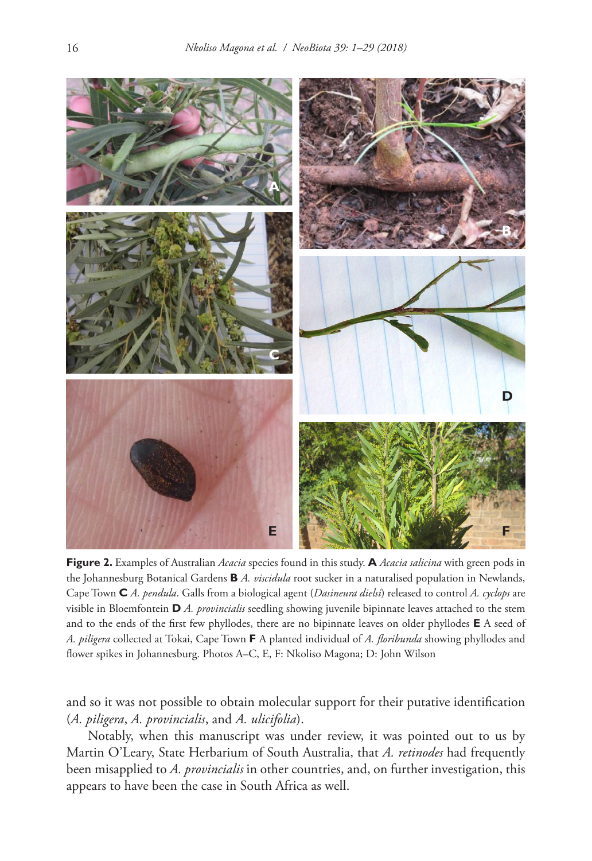

**Figure 2.** Examples of Australian *Acacia* species found in this study. **A** *Acacia salicina* with green pods in the Johannesburg Botanical Gardens **B** *A. viscidula* root sucker in a naturalised population in Newlands, Cape Town **C** *A. pendula*. Galls from a biological agent (*Dasineura dielsi*) released to control *A. cyclops* are visible in Bloemfontein **D** *A. provincialis* seedling showing juvenile bipinnate leaves attached to the stem and to the ends of the first few phyllodes, there are no bipinnate leaves on older phyllodes **E** A seed of *A. piligera* collected at Tokai, Cape Town **F** A planted individual of *A. floribunda* showing phyllodes and flower spikes in Johannesburg. Photos A–C, E, F: Nkoliso Magona; D: John Wilson

and so it was not possible to obtain molecular support for their putative identification (*A. piligera*, *A. provincialis*, and *A. ulicifolia*).

Notably, when this manuscript was under review, it was pointed out to us by Martin O'Leary, State Herbarium of South Australia, that *A. retinodes* had frequently been misapplied to *A. provincialis* in other countries, and, on further investigation, this appears to have been the case in South Africa as well.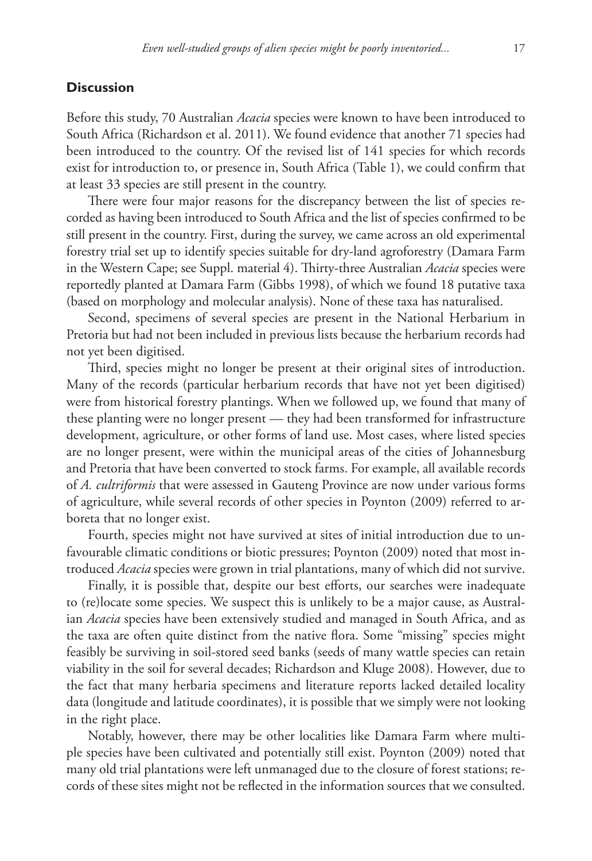## **Discussion**

Before this study, 70 Australian *Acacia* species were known to have been introduced to South Africa (Richardson et al. 2011). We found evidence that another 71 species had been introduced to the country. Of the revised list of 141 species for which records exist for introduction to, or presence in, South Africa (Table 1), we could confirm that at least 33 species are still present in the country.

There were four major reasons for the discrepancy between the list of species recorded as having been introduced to South Africa and the list of species confirmed to be still present in the country. First, during the survey, we came across an old experimental forestry trial set up to identify species suitable for dry-land agroforestry (Damara Farm in the Western Cape; see Suppl. material 4). Thirty-three Australian *Acacia* species were reportedly planted at Damara Farm (Gibbs 1998), of which we found 18 putative taxa (based on morphology and molecular analysis). None of these taxa has naturalised.

Second, specimens of several species are present in the National Herbarium in Pretoria but had not been included in previous lists because the herbarium records had not yet been digitised.

Third, species might no longer be present at their original sites of introduction. Many of the records (particular herbarium records that have not yet been digitised) were from historical forestry plantings. When we followed up, we found that many of these planting were no longer present — they had been transformed for infrastructure development, agriculture, or other forms of land use. Most cases, where listed species are no longer present, were within the municipal areas of the cities of Johannesburg and Pretoria that have been converted to stock farms. For example, all available records of *A. cultriformis* that were assessed in Gauteng Province are now under various forms of agriculture, while several records of other species in Poynton (2009) referred to arboreta that no longer exist.

Fourth, species might not have survived at sites of initial introduction due to unfavourable climatic conditions or biotic pressures; Poynton (2009) noted that most introduced *Acacia* species were grown in trial plantations, many of which did not survive.

Finally, it is possible that, despite our best efforts, our searches were inadequate to (re)locate some species. We suspect this is unlikely to be a major cause, as Australian *Acacia* species have been extensively studied and managed in South Africa, and as the taxa are often quite distinct from the native flora. Some "missing" species might feasibly be surviving in soil-stored seed banks (seeds of many wattle species can retain viability in the soil for several decades; Richardson and Kluge 2008). However, due to the fact that many herbaria specimens and literature reports lacked detailed locality data (longitude and latitude coordinates), it is possible that we simply were not looking in the right place.

Notably, however, there may be other localities like Damara Farm where multiple species have been cultivated and potentially still exist. Poynton (2009) noted that many old trial plantations were left unmanaged due to the closure of forest stations; records of these sites might not be reflected in the information sources that we consulted.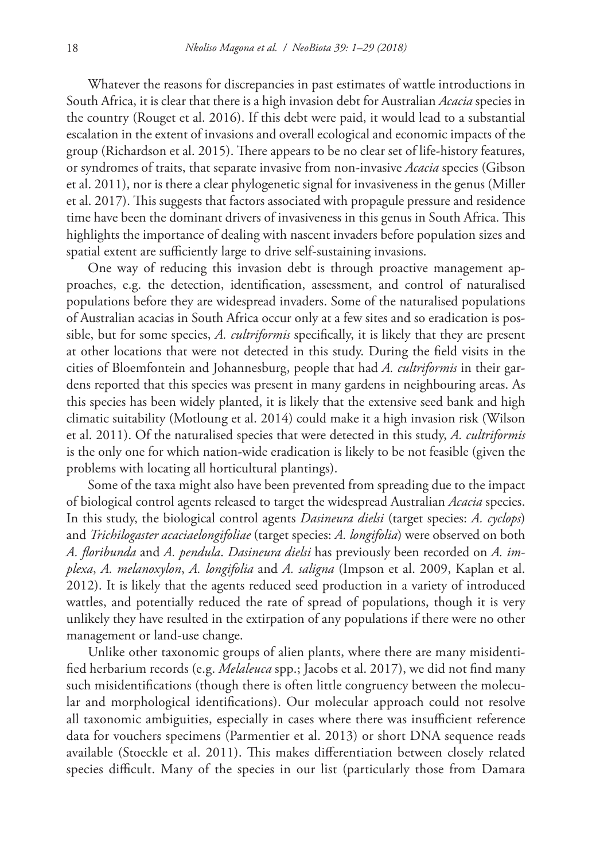Whatever the reasons for discrepancies in past estimates of wattle introductions in South Africa, it is clear that there is a high invasion debt for Australian *Acacia* species in the country (Rouget et al. 2016). If this debt were paid, it would lead to a substantial escalation in the extent of invasions and overall ecological and economic impacts of the group (Richardson et al. 2015). There appears to be no clear set of life-history features, or syndromes of traits, that separate invasive from non-invasive *Acacia* species (Gibson et al. 2011), nor is there a clear phylogenetic signal for invasiveness in the genus (Miller et al. 2017). This suggests that factors associated with propagule pressure and residence time have been the dominant drivers of invasiveness in this genus in South Africa. This highlights the importance of dealing with nascent invaders before population sizes and spatial extent are sufficiently large to drive self-sustaining invasions.

One way of reducing this invasion debt is through proactive management approaches, e.g. the detection, identification, assessment, and control of naturalised populations before they are widespread invaders. Some of the naturalised populations of Australian acacias in South Africa occur only at a few sites and so eradication is possible, but for some species, *A. cultriformis* specifically, it is likely that they are present at other locations that were not detected in this study. During the field visits in the cities of Bloemfontein and Johannesburg, people that had *A. cultriformis* in their gardens reported that this species was present in many gardens in neighbouring areas. As this species has been widely planted, it is likely that the extensive seed bank and high climatic suitability (Motloung et al. 2014) could make it a high invasion risk (Wilson et al. 2011). Of the naturalised species that were detected in this study, *A. cultriformis*  is the only one for which nation-wide eradication is likely to be not feasible (given the problems with locating all horticultural plantings).

Some of the taxa might also have been prevented from spreading due to the impact of biological control agents released to target the widespread Australian *Acacia* species. In this study, the biological control agents *Dasineura dielsi* (target species: *A. cyclops*) and *Trichilogaster acaciaelongifoliae* (target species: *A. longifolia*) were observed on both *A. floribunda* and *A. pendula*. *Dasineura dielsi* has previously been recorded on *A. implexa*, *A. melanoxylon*, *A. longifolia* and *A. saligna* (Impson et al. 2009, Kaplan et al. 2012). It is likely that the agents reduced seed production in a variety of introduced wattles, and potentially reduced the rate of spread of populations, though it is very unlikely they have resulted in the extirpation of any populations if there were no other management or land-use change.

Unlike other taxonomic groups of alien plants, where there are many misidentified herbarium records (e.g. *Melaleuca* spp.; Jacobs et al. 2017), we did not find many such misidentifications (though there is often little congruency between the molecular and morphological identifications). Our molecular approach could not resolve all taxonomic ambiguities, especially in cases where there was insufficient reference data for vouchers specimens (Parmentier et al. 2013) or short DNA sequence reads available (Stoeckle et al. 2011). This makes differentiation between closely related species difficult. Many of the species in our list (particularly those from Damara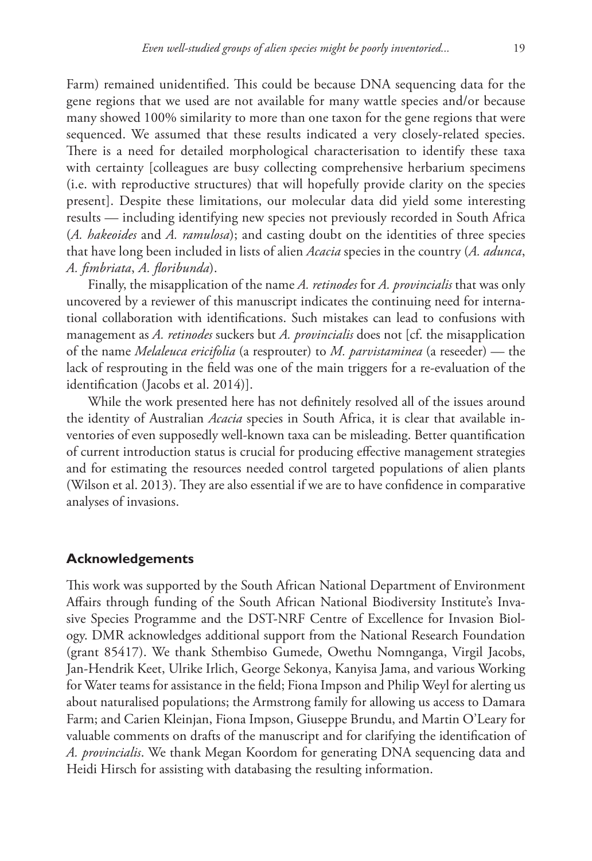Farm) remained unidentified. This could be because DNA sequencing data for the gene regions that we used are not available for many wattle species and/or because many showed 100% similarity to more than one taxon for the gene regions that were sequenced. We assumed that these results indicated a very closely-related species. There is a need for detailed morphological characterisation to identify these taxa with certainty [colleagues are busy collecting comprehensive herbarium specimens (i.e. with reproductive structures) that will hopefully provide clarity on the species present]. Despite these limitations, our molecular data did yield some interesting results — including identifying new species not previously recorded in South Africa (*A. hakeoides* and *A. ramulosa*); and casting doubt on the identities of three species that have long been included in lists of alien *Acacia* species in the country (*A. adunca*, *A. fimbriata*, *A. floribunda*).

Finally, the misapplication of the name *A. retinodes* for *A. provincialis* that was only uncovered by a reviewer of this manuscript indicates the continuing need for international collaboration with identifications. Such mistakes can lead to confusions with management as *A. retinodes* suckers but *A. provincialis* does not [cf. the misapplication of the name *Melaleuca ericifolia* (a resprouter) to *M. parvistaminea* (a reseeder) — the lack of resprouting in the field was one of the main triggers for a re-evaluation of the identification (Jacobs et al. 2014)].

While the work presented here has not definitely resolved all of the issues around the identity of Australian *Acacia* species in South Africa, it is clear that available inventories of even supposedly well-known taxa can be misleading. Better quantification of current introduction status is crucial for producing effective management strategies and for estimating the resources needed control targeted populations of alien plants (Wilson et al. 2013). They are also essential if we are to have confidence in comparative analyses of invasions.

## **Acknowledgements**

This work was supported by the South African National Department of Environment Affairs through funding of the South African National Biodiversity Institute's Invasive Species Programme and the DST-NRF Centre of Excellence for Invasion Biology. DMR acknowledges additional support from the National Research Foundation (grant 85417). We thank Sthembiso Gumede, Owethu Nomnganga, Virgil Jacobs, Jan-Hendrik Keet, Ulrike Irlich, George Sekonya, Kanyisa Jama, and various Working for Water teams for assistance in the field; Fiona Impson and Philip Weyl for alerting us about naturalised populations; the Armstrong family for allowing us access to Damara Farm; and Carien Kleinjan, Fiona Impson, Giuseppe Brundu, and Martin O'Leary for valuable comments on drafts of the manuscript and for clarifying the identification of *A. provincialis*. We thank Megan Koordom for generating DNA sequencing data and Heidi Hirsch for assisting with databasing the resulting information.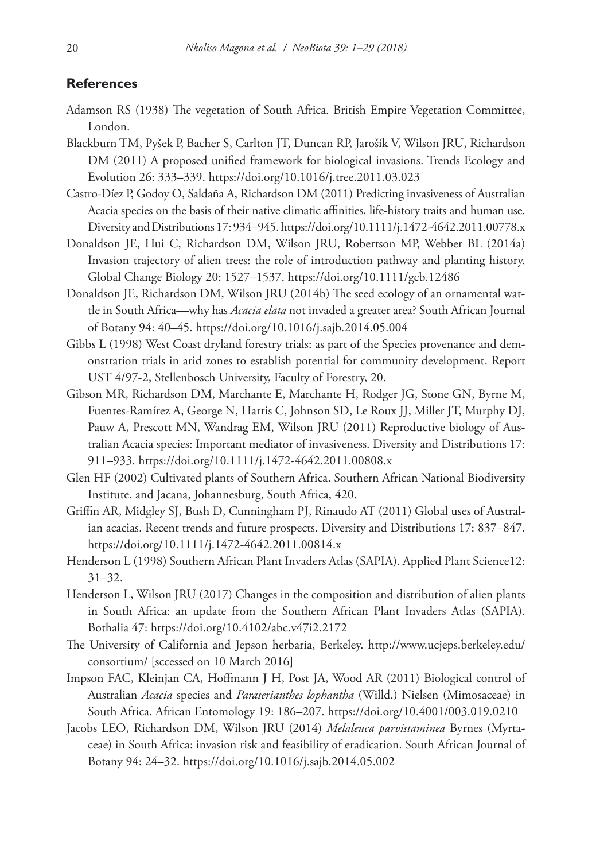## **References**

- Adamson RS (1938) The vegetation of South Africa. British Empire Vegetation Committee, London.
- Blackburn TM, Pyšek P, Bacher S, Carlton JT, Duncan RP, Jarošík V, Wilson JRU, Richardson DM (2011) A proposed unified framework for biological invasions. Trends Ecology and Evolution 26: 333–339. <https://doi.org/10.1016/j.tree.2011.03.023>
- Castro-Díez P, Godoy O, Saldaña A, Richardson DM (2011) Predicting invasiveness of Australian Acacia species on the basis of their native climatic affinities, life-history traits and human use. Diversity and Distributions 17: 934–945.<https://doi.org/10.1111/j.1472-4642.2011.00778.x>
- Donaldson JE, Hui C, Richardson DM, Wilson JRU, Robertson MP, Webber BL (2014a) Invasion trajectory of alien trees: the role of introduction pathway and planting history. Global Change Biology 20: 1527–1537. <https://doi.org/10.1111/gcb.12486>
- Donaldson JE, Richardson DM, Wilson JRU (2014b) The seed ecology of an ornamental wattle in South Africa—why has *Acacia elata* not invaded a greater area? South African Journal of Botany 94: 40–45. <https://doi.org/10.1016/j.sajb.2014.05.004>
- Gibbs L (1998) West Coast dryland forestry trials: as part of the Species provenance and demonstration trials in arid zones to establish potential for community development. Report UST 4/97-2, Stellenbosch University, Faculty of Forestry, 20.
- Gibson MR, Richardson DM, Marchante E, Marchante H, Rodger JG, Stone GN, Byrne M, Fuentes-Ramírez A, George N, Harris C, Johnson SD, Le Roux JJ, Miller JT, Murphy DJ, Pauw A, Prescott MN, Wandrag EM, Wilson JRU (2011) Reproductive biology of Australian Acacia species: Important mediator of invasiveness. Diversity and Distributions 17: 911–933.<https://doi.org/10.1111/j.1472-4642.2011.00808.x>
- Glen HF (2002) Cultivated plants of Southern Africa. Southern African National Biodiversity Institute, and Jacana, Johannesburg, South Africa, 420.
- Griffin AR, Midgley SJ, Bush D, Cunningham PJ, Rinaudo AT (2011) Global uses of Australian acacias. Recent trends and future prospects. Diversity and Distributions 17: 837–847. <https://doi.org/10.1111/j.1472-4642.2011.00814.x>
- Henderson L (1998) Southern African Plant Invaders Atlas (SAPIA). Applied Plant Science12: 31–32.
- Henderson L, Wilson JRU (2017) Changes in the composition and distribution of alien plants in South Africa: an update from the Southern African Plant Invaders Atlas (SAPIA). Bothalia 47:<https://doi.org/10.4102/abc.v47i2.2172>
- The University of California and Jepson herbaria, Berkeley. [http://www.ucjeps.berkeley.edu/](http://www.ucjeps.berkeley.edu/consortium/) [consortium/](http://www.ucjeps.berkeley.edu/consortium/) [sccessed on 10 March 2016]
- Impson FAC, Kleinjan CA, Hoffmann J H, Post JA, Wood AR (2011) Biological control of Australian *Acacia* species and *Paraserianthes lophantha* (Willd.) Nielsen (Mimosaceae) in South Africa. African Entomology 19: 186–207.<https://doi.org/10.4001/003.019.0210>
- Jacobs LEO, Richardson DM, Wilson JRU (2014) *Melaleuca parvistaminea* Byrnes (Myrtaceae) in South Africa: invasion risk and feasibility of eradication. South African Journal of Botany 94: 24–32. <https://doi.org/10.1016/j.sajb.2014.05.002>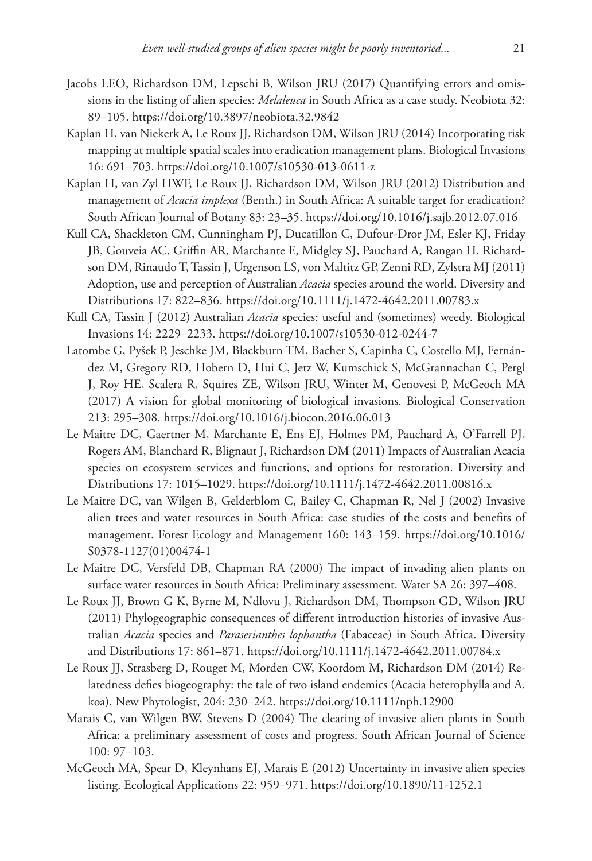- Jacobs LEO, Richardson DM, Lepschi B, Wilson JRU (2017) Quantifying errors and omissions in the listing of alien species: *Melaleuca* in South Africa as a case study. Neobiota 32: 89–105.<https://doi.org/10.3897/neobiota.32.9842>
- Kaplan H, van Niekerk A, Le Roux JJ, Richardson DM, Wilson JRU (2014) Incorporating risk mapping at multiple spatial scales into eradication management plans. Biological Invasions 16: 691–703.<https://doi.org/10.1007/s10530-013-0611-z>
- Kaplan H, van Zyl HWF, Le Roux JJ, Richardson DM, Wilson JRU (2012) Distribution and management of *Acacia implexa* (Benth.) in South Africa: A suitable target for eradication? South African Journal of Botany 83: 23–35. <https://doi.org/10.1016/j.sajb.2012.07.016>
- Kull CA, Shackleton CM, Cunningham PJ, Ducatillon C, Dufour-Dror JM, Esler KJ, Friday JB, Gouveia AC, Griffin AR, Marchante E, Midgley SJ, Pauchard A, Rangan H, Richardson DM, Rinaudo T, Tassin J, Urgenson LS, von Maltitz GP, Zenni RD, Zylstra MJ (2011) Adoption, use and perception of Australian *Acacia* species around the world. Diversity and Distributions 17: 822–836.<https://doi.org/10.1111/j.1472-4642.2011.00783.x>
- Kull CA, Tassin J (2012) Australian *Acacia* species: useful and (sometimes) weedy. Biological Invasions 14: 2229–2233. <https://doi.org/10.1007/s10530-012-0244-7>
- Latombe G, Pyšek P, Jeschke JM, Blackburn TM, Bacher S, Capinha C, Costello MJ, Fernández M, Gregory RD, Hobern D, Hui C, Jetz W, Kumschick S, McGrannachan C, Pergl J, Roy HE, Scalera R, Squires ZE, Wilson JRU, Winter M, Genovesi P, McGeoch MA (2017) A vision for global monitoring of biological invasions. Biological Conservation 213: 295–308.<https://doi.org/10.1016/j.biocon.2016.06.013>
- Le Maitre DC, Gaertner M, Marchante E, Ens EJ, Holmes PM, Pauchard A, O'Farrell PJ, Rogers AM, Blanchard R, Blignaut J, Richardson DM (2011) Impacts of Australian Acacia species on ecosystem services and functions, and options for restoration. Diversity and Distributions 17: 1015–1029.<https://doi.org/10.1111/j.1472-4642.2011.00816.x>
- Le Maitre DC, van Wilgen B, Gelderblom C, Bailey C, Chapman R, Nel J (2002) Invasive alien trees and water resources in South Africa: case studies of the costs and benefits of management. Forest Ecology and Management 160: 143–159. [https://doi.org/10.1016/](https://doi.org/10.1016/S0378-1127(01)00474-1) [S0378-1127\(01\)00474-1](https://doi.org/10.1016/S0378-1127(01)00474-1)
- Le Maitre DC, Versfeld DB, Chapman RA (2000) The impact of invading alien plants on surface water resources in South Africa: Preliminary assessment. Water SA 26: 397–408.
- Le Roux JJ, Brown G K, Byrne M, Ndlovu J, Richardson DM, Thompson GD, Wilson JRU (2011) Phylogeographic consequences of different introduction histories of invasive Australian *Acacia* species and *Paraserianthes lophantha* (Fabaceae) in South Africa. Diversity and Distributions 17: 861–871.<https://doi.org/10.1111/j.1472-4642.2011.00784.x>
- Le Roux JJ, Strasberg D, Rouget M, Morden CW, Koordom M, Richardson DM (2014) Relatedness defies biogeography: the tale of two island endemics (Acacia heterophylla and A. koa). New Phytologist, 204: 230–242. <https://doi.org/10.1111/nph.12900>
- Marais C, van Wilgen BW, Stevens D (2004) The clearing of invasive alien plants in South Africa: a preliminary assessment of costs and progress. South African Journal of Science 100: 97–103.
- McGeoch MA, Spear D, Kleynhans EJ, Marais E (2012) Uncertainty in invasive alien species listing. Ecological Applications 22: 959–971. <https://doi.org/10.1890/11-1252.1>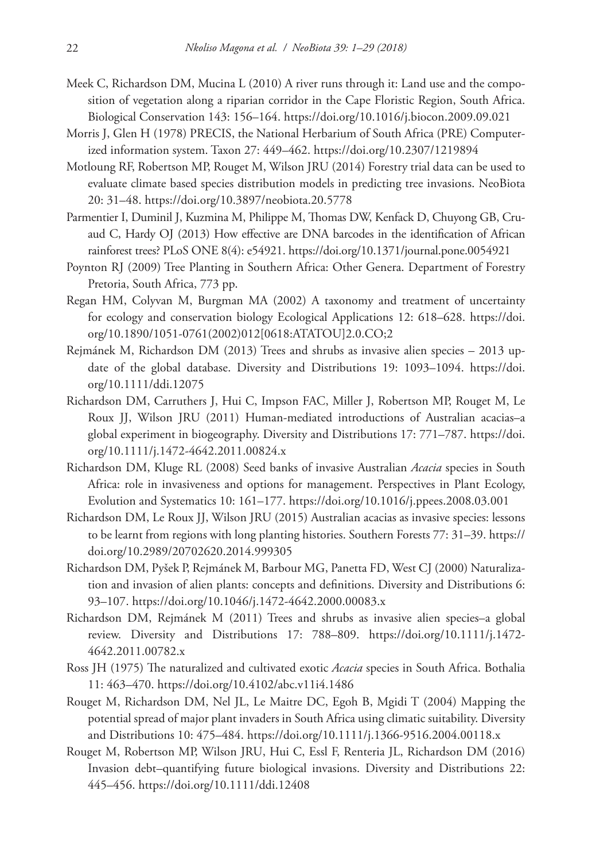- Meek C, Richardson DM, Mucina L (2010) A river runs through it: Land use and the composition of vegetation along a riparian corridor in the Cape Floristic Region, South Africa. Biological Conservation 143: 156–164.<https://doi.org/10.1016/j.biocon.2009.09.021>
- Morris J, Glen H (1978) PRECIS, the National Herbarium of South Africa (PRE) Computerized information system. Taxon 27: 449–462.<https://doi.org/10.2307/1219894>
- Motloung RF, Robertson MP, Rouget M, Wilson JRU (2014) Forestry trial data can be used to evaluate climate based species distribution models in predicting tree invasions. NeoBiota 20: 31–48.<https://doi.org/10.3897/neobiota.20.5778>
- Parmentier I, Duminil J, Kuzmina M, Philippe M, Thomas DW, Kenfack D, Chuyong GB, Cruaud C, Hardy OJ (2013) How effective are DNA barcodes in the identification of African rainforest trees? PLoS ONE 8(4): e54921.<https://doi.org/10.1371/journal.pone.0054921>
- Poynton RJ (2009) Tree Planting in Southern Africa: Other Genera. Department of Forestry Pretoria, South Africa, 773 pp.
- Regan HM, Colyvan M, Burgman MA (2002) A taxonomy and treatment of uncertainty for ecology and conservation biology Ecological Applications 12: 618–628. [https://doi.](https://doi.org/10.1890/1051-0761(2002)012%5B0618:ATATOU%5D2.0.CO;2) [org/10.1890/1051-0761\(2002\)012\[0618:ATATOU\]2.0.CO;2](https://doi.org/10.1890/1051-0761(2002)012%5B0618:ATATOU%5D2.0.CO;2)
- Rejmánek M, Richardson DM (2013) Trees and shrubs as invasive alien species 2013 update of the global database. Diversity and Distributions 19: 1093–1094. [https://doi.](https://doi.org/10.1111/ddi.12075) [org/10.1111/ddi.12075](https://doi.org/10.1111/ddi.12075)
- Richardson DM, Carruthers J, Hui C, Impson FAC, Miller J, Robertson MP, Rouget M, Le Roux JJ, Wilson JRU (2011) Human-mediated introductions of Australian acacias–a global experiment in biogeography. Diversity and Distributions 17: 771–787. [https://doi.](https://doi.org/10.1111/j.1472-4642.2011.00824.x) [org/10.1111/j.1472-4642.2011.00824.x](https://doi.org/10.1111/j.1472-4642.2011.00824.x)
- Richardson DM, Kluge RL (2008) Seed banks of invasive Australian *Acacia* species in South Africa: role in invasiveness and options for management. Perspectives in Plant Ecology, Evolution and Systematics 10: 161–177. <https://doi.org/10.1016/j.ppees.2008.03.001>
- Richardson DM, Le Roux JJ, Wilson JRU (2015) Australian acacias as invasive species: lessons to be learnt from regions with long planting histories. Southern Forests 77: 31–39. [https://](https://doi.org/10.2989/20702620.2014.999305) [doi.org/10.2989/20702620.2014.999305](https://doi.org/10.2989/20702620.2014.999305)
- Richardson DM, Pyšek P, Rejmánek M, Barbour MG, Panetta FD, West CJ (2000) Naturalization and invasion of alien plants: concepts and definitions. Diversity and Distributions 6: 93–107.<https://doi.org/10.1046/j.1472-4642.2000.00083.x>
- Richardson DM, Rejmánek M (2011) Trees and shrubs as invasive alien species–a global review. Diversity and Distributions 17: 788–809. [https://doi.org/10.1111/j.1472-](https://doi.org/10.1111/j.1472-4642.2011.00782.x) [4642.2011.00782.x](https://doi.org/10.1111/j.1472-4642.2011.00782.x)
- Ross JH (1975) The naturalized and cultivated exotic *Acacia* species in South Africa. Bothalia 11: 463–470.<https://doi.org/10.4102/abc.v11i4.1486>
- Rouget M, Richardson DM, Nel JL, Le Maitre DC, Egoh B, Mgidi T (2004) Mapping the potential spread of major plant invaders in South Africa using climatic suitability. Diversity and Distributions 10: 475–484.<https://doi.org/10.1111/j.1366-9516.2004.00118.x>
- Rouget M, Robertson MP, Wilson JRU, Hui C, Essl F, Renteria JL, Richardson DM (2016) Invasion debt–quantifying future biological invasions. Diversity and Distributions 22: 445–456.<https://doi.org/10.1111/ddi.12408>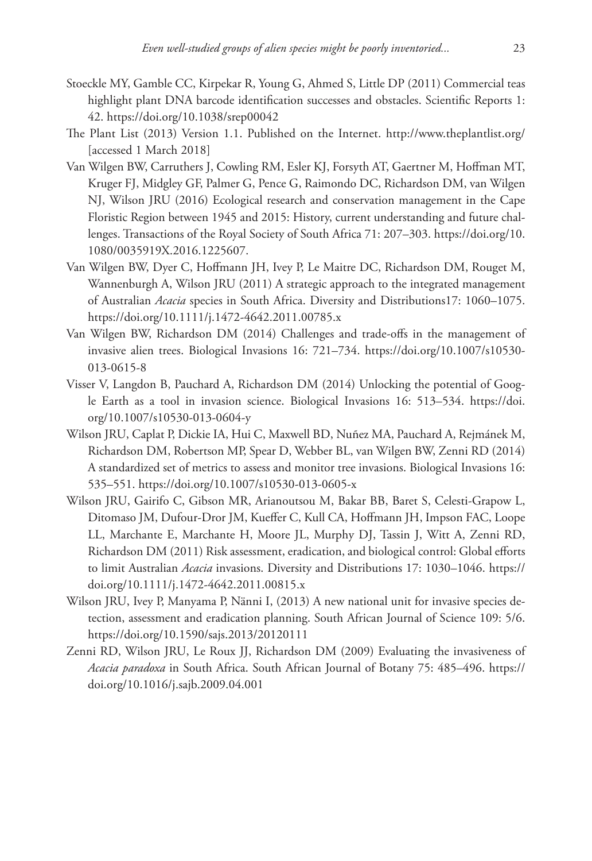- Stoeckle MY, Gamble CC, Kirpekar R, Young G, Ahmed S, Little DP (2011) Commercial teas highlight plant DNA barcode identification successes and obstacles. Scientific Reports 1: 42.<https://doi.org/10.1038/srep00042>
- The Plant List (2013) Version 1.1. Published on the Internet. <http://www.theplantlist.org/> [accessed 1 March 2018]
- Van Wilgen BW, Carruthers J, Cowling RM, Esler KJ, Forsyth AT, Gaertner M, Hoffman MT, Kruger FJ, Midgley GF, Palmer G, Pence G, Raimondo DC, Richardson DM, van Wilgen NJ, Wilson JRU (2016) Ecological research and conservation management in the Cape Floristic Region between 1945 and 2015: History, current understanding and future challenges. Transactions of the Royal Society of South Africa 71: 207–303. [https://doi.org/10.](https://doi.org/10.1080/0035919X.2016.1225607) [1080/0035919X.2016.1225607](https://doi.org/10.1080/0035919X.2016.1225607).
- Van Wilgen BW, Dyer C, Hoffmann JH, Ivey P, Le Maitre DC, Richardson DM, Rouget M, Wannenburgh A, Wilson JRU (2011) A strategic approach to the integrated management of Australian *Acacia* species in South Africa. Diversity and Distributions17: 1060–1075. <https://doi.org/10.1111/j.1472-4642.2011.00785.x>
- Van Wilgen BW, Richardson DM (2014) Challenges and trade-offs in the management of invasive alien trees. Biological Invasions 16: 721–734. [https://doi.org/10.1007/s10530-](https://doi.org/10.1007/s10530-013-0615-8) [013-0615-8](https://doi.org/10.1007/s10530-013-0615-8)
- Visser V, Langdon B, Pauchard A, Richardson DM (2014) Unlocking the potential of Google Earth as a tool in invasion science. Biological Invasions 16: 513–534. [https://doi.](https://doi.org/10.1007/s10530-013-0604-y) [org/10.1007/s10530-013-0604-y](https://doi.org/10.1007/s10530-013-0604-y)
- Wilson JRU, Caplat P, Dickie IA, Hui C, Maxwell BD, Nuñez MA, Pauchard A, Rejmánek M, Richardson DM, Robertson MP, Spear D, Webber BL, van Wilgen BW, Zenni RD (2014) A standardized set of metrics to assess and monitor tree invasions. Biological Invasions 16: 535–551.<https://doi.org/10.1007/s10530-013-0605-x>
- Wilson JRU, Gairifo C, Gibson MR, Arianoutsou M, Bakar BB, Baret S, Celesti-Grapow L, Ditomaso JM, Dufour-Dror JM, Kueffer C, Kull CA, Hoffmann JH, Impson FAC, Loope LL, Marchante E, Marchante H, Moore JL, Murphy DJ, Tassin J, Witt A, Zenni RD, Richardson DM (2011) Risk assessment, eradication, and biological control: Global efforts to limit Australian *Acacia* invasions. Diversity and Distributions 17: 1030–1046. [https://](https://doi.org/10.1111/j.1472-4642.2011.00815.x) [doi.org/10.1111/j.1472-4642.2011.00815.x](https://doi.org/10.1111/j.1472-4642.2011.00815.x)
- Wilson JRU, Ivey P, Manyama P, Nänni I, (2013) A new national unit for invasive species detection, assessment and eradication planning. South African Journal of Science 109: 5/6. <https://doi.org/10.1590/sajs.2013/20120111>
- Zenni RD, Wilson JRU, Le Roux JJ, Richardson DM (2009) Evaluating the invasiveness of *Acacia paradoxa* in South Africa. South African Journal of Botany 75: 485–496. [https://](https://doi.org/10.1016/j.sajb.2009.04.001) [doi.org/10.1016/j.sajb.2009.04.001](https://doi.org/10.1016/j.sajb.2009.04.001)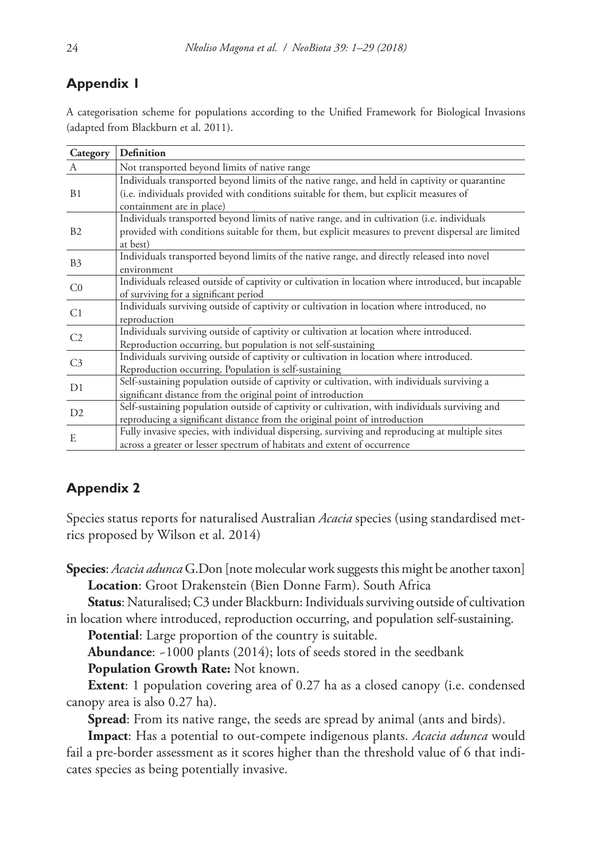# **Appendix 1**

A categorisation scheme for populations according to the Unified Framework for Biological Invasions (adapted from Blackburn et al. 2011).

| Category       | Definition                                                                                           |
|----------------|------------------------------------------------------------------------------------------------------|
| A              | Not transported beyond limits of native range                                                        |
|                | Individuals transported beyond limits of the native range, and held in captivity or quarantine       |
| B <sub>1</sub> | (i.e. individuals provided with conditions suitable for them, but explicit measures of               |
|                | containment are in place)                                                                            |
|                | Individuals transported beyond limits of native range, and in cultivation (i.e. individuals          |
| B2             | provided with conditions suitable for them, but explicit measures to prevent dispersal are limited   |
|                | at best)                                                                                             |
| B <sub>3</sub> | Individuals transported beyond limits of the native range, and directly released into novel          |
|                | environment                                                                                          |
| C <sub>0</sub> | Individuals released outside of captivity or cultivation in location where introduced, but incapable |
|                | of surviving for a significant period                                                                |
| C1             | Individuals surviving outside of captivity or cultivation in location where introduced, no           |
|                | reproduction                                                                                         |
| C <sub>2</sub> | Individuals surviving outside of captivity or cultivation at location where introduced.              |
|                | Reproduction occurring, but population is not self-sustaining                                        |
| C <sub>3</sub> | Individuals surviving outside of captivity or cultivation in location where introduced.              |
|                | Reproduction occurring. Population is self-sustaining                                                |
| D1             | Self-sustaining population outside of captivity or cultivation, with individuals surviving a         |
|                | significant distance from the original point of introduction                                         |
| D2             | Self-sustaining population outside of captivity or cultivation, with individuals surviving and       |
|                | reproducing a significant distance from the original point of introduction                           |
| E              | Fully invasive species, with individual dispersing, surviving and reproducing at multiple sites      |
|                | across a greater or lesser spectrum of habitats and extent of occurrence                             |

# **Appendix 2**

Species status reports for naturalised Australian *Acacia* species (using standardised metrics proposed by Wilson et al. 2014)

**Species**: *Acacia adunca* G.Don [note molecular work suggests this might be another taxon] **Location**: Groot Drakenstein (Bien Donne Farm). South Africa

**Status**: Naturalised; C3 under Blackburn: Individuals surviving outside of cultivation in location where introduced, reproduction occurring, and population self-sustaining.

**Potential**: Large proportion of the country is suitable.

**Abundance**: ~1000 plants (2014); lots of seeds stored in the seedbank

**Population Growth Rate:** Not known.

**Extent:** 1 population covering area of 0.27 ha as a closed canopy (i.e. condensed canopy area is also 0.27 ha).

**Spread**: From its native range, the seeds are spread by animal (ants and birds).

**Impact**: Has a potential to out-compete indigenous plants. *Acacia adunca* would fail a pre-border assessment as it scores higher than the threshold value of 6 that indicates species as being potentially invasive.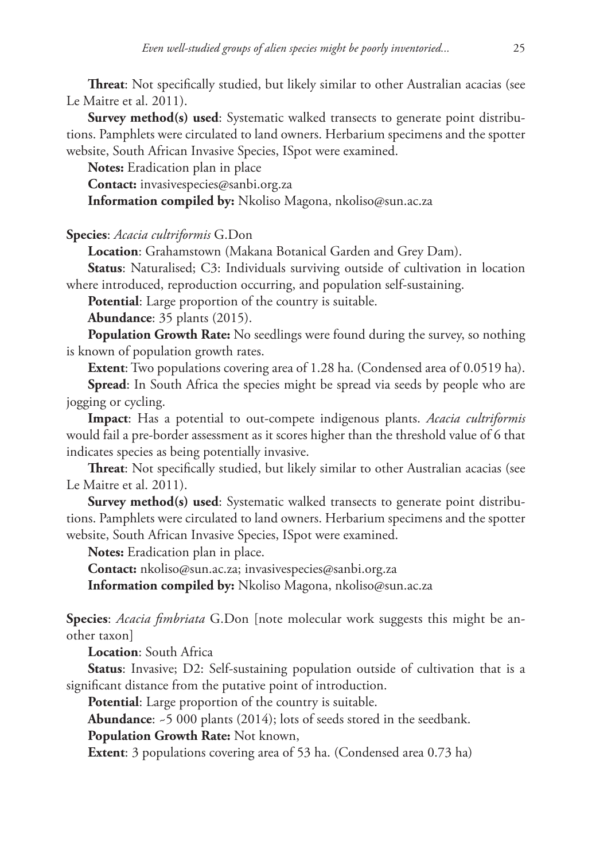**Threat**: Not specifically studied, but likely similar to other Australian acacias (see Le Maitre et al. 2011).

**Survey method(s) used:** Systematic walked transects to generate point distributions. Pamphlets were circulated to land owners. Herbarium specimens and the spotter website, South African Invasive Species, ISpot were examined.

**Notes:** Eradication plan in place

**Contact:** [invasivespecies@sanbi.org.za](mailto:invasivespecies@sanbi.org.za)

**Information compiled by:** Nkoliso Magona, [nkoliso@sun.ac.za](mailto:nkoliso@sun.ac.za)

**Species**: *Acacia cultriformis* G.Don

**Location**: Grahamstown (Makana Botanical Garden and Grey Dam).

**Status**: Naturalised; C3: Individuals surviving outside of cultivation in location where introduced, reproduction occurring, and population self-sustaining.

**Potential**: Large proportion of the country is suitable.

**Abundance**: 35 plants (2015).

**Population Growth Rate:** No seedlings were found during the survey, so nothing is known of population growth rates.

**Extent**: Two populations covering area of 1.28 ha. (Condensed area of 0.0519 ha).

**Spread**: In South Africa the species might be spread via seeds by people who are jogging or cycling.

**Impact**: Has a potential to out-compete indigenous plants. *Acacia cultriformis*  would fail a pre-border assessment as it scores higher than the threshold value of 6 that indicates species as being potentially invasive.

**Threat**: Not specifically studied, but likely similar to other Australian acacias (see Le Maitre et al. 2011).

**Survey method(s) used:** Systematic walked transects to generate point distributions. Pamphlets were circulated to land owners. Herbarium specimens and the spotter website, South African Invasive Species, ISpot were examined.

**Notes:** Eradication plan in place.

**Contact:** [nkoliso@sun.ac.za;](mailto:nkoliso@sun.ac.za) [invasivespecies@sanbi.org.za](mailto:invasivespecies@sanbi.org.za)

**Information compiled by:** Nkoliso Magona, [nkoliso@sun.ac.za](mailto:nkoliso@sun.ac.za)

**Species**: *Acacia fimbriata* G.Don [note molecular work suggests this might be another taxon]

**Location**: South Africa

**Status**: Invasive; D2: Self-sustaining population outside of cultivation that is a significant distance from the putative point of introduction.

**Potential**: Large proportion of the country is suitable.

**Abundance**: ~5 000 plants (2014); lots of seeds stored in the seedbank.

**Population Growth Rate:** Not known,

**Extent:** 3 populations covering area of 53 ha. (Condensed area 0.73 ha)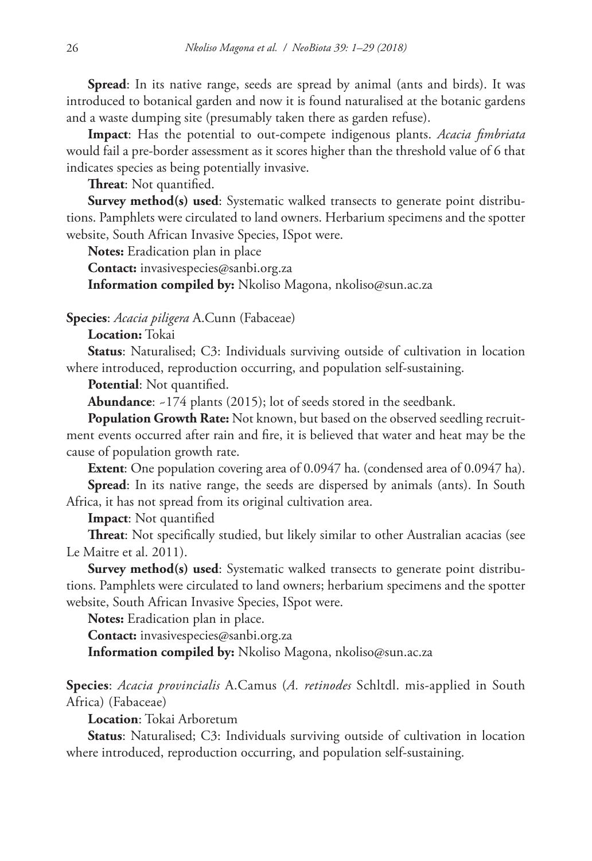**Spread**: In its native range, seeds are spread by animal (ants and birds). It was introduced to botanical garden and now it is found naturalised at the botanic gardens and a waste dumping site (presumably taken there as garden refuse).

**Impact**: Has the potential to out-compete indigenous plants. *Acacia fimbriata* would fail a pre-border assessment as it scores higher than the threshold value of 6 that indicates species as being potentially invasive.

**Threat**: Not quantified.

**Survey method(s) used:** Systematic walked transects to generate point distributions. Pamphlets were circulated to land owners. Herbarium specimens and the spotter website, South African Invasive Species, ISpot were.

**Notes:** Eradication plan in place

**Contact:** [invasivespecies@sanbi.org.za](mailto:invasivespecies@sanbi.org.za)

**Information compiled by:** Nkoliso Magona, [nkoliso@sun.ac.za](mailto:nkoliso@sun.ac.za)

**Species**: *Acacia piligera* A.Cunn (Fabaceae)

**Location:** Tokai

**Status**: Naturalised; C3: Individuals surviving outside of cultivation in location where introduced, reproduction occurring, and population self-sustaining.

**Potential**: Not quantified.

**Abundance**: ~174 plants (2015); lot of seeds stored in the seedbank.

**Population Growth Rate:** Not known, but based on the observed seedling recruitment events occurred after rain and fire, it is believed that water and heat may be the cause of population growth rate.

**Extent**: One population covering area of 0.0947 ha. (condensed area of 0.0947 ha).

**Spread**: In its native range, the seeds are dispersed by animals (ants). In South Africa, it has not spread from its original cultivation area.

**Impact**: Not quantified

**Threat**: Not specifically studied, but likely similar to other Australian acacias (see Le Maitre et al. 2011).

**Survey method(s) used**: Systematic walked transects to generate point distributions. Pamphlets were circulated to land owners; herbarium specimens and the spotter website, South African Invasive Species, ISpot were.

**Notes:** Eradication plan in place.

**Contact:** [invasivespecies@sanbi.org.za](mailto:invasivespecies@sanbi.org.za)

**Information compiled by:** Nkoliso Magona, [nkoliso@sun.ac.za](mailto:nkoliso@sun.ac.za)

**Species**: *Acacia provincialis* A.Camus (*A. retinodes* Schltdl. mis-applied in South Africa) (Fabaceae)

**Location**: Tokai Arboretum

**Status**: Naturalised; C3: Individuals surviving outside of cultivation in location where introduced, reproduction occurring, and population self-sustaining.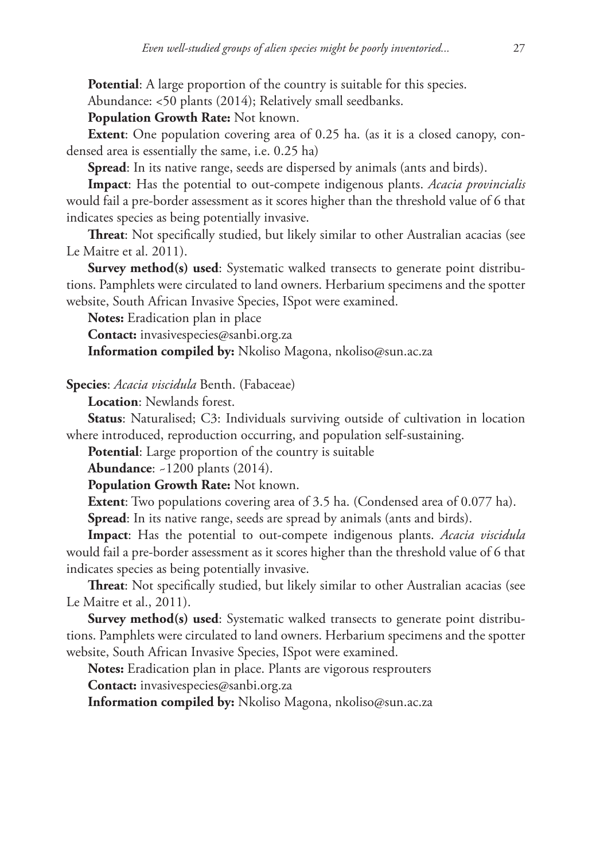**Potential**: A large proportion of the country is suitable for this species.

Abundance: <50 plants (2014); Relatively small seedbanks.

**Population Growth Rate:** Not known.

**Extent**: One population covering area of 0.25 ha. (as it is a closed canopy, condensed area is essentially the same, i.e. 0.25 ha)

**Spread**: In its native range, seeds are dispersed by animals (ants and birds).

**Impact**: Has the potential to out-compete indigenous plants. *Acacia provincialis* would fail a pre-border assessment as it scores higher than the threshold value of 6 that indicates species as being potentially invasive.

**Threat**: Not specifically studied, but likely similar to other Australian acacias (see Le Maitre et al. 2011).

**Survey method(s) used:** Systematic walked transects to generate point distributions. Pamphlets were circulated to land owners. Herbarium specimens and the spotter website, South African Invasive Species, ISpot were examined.

**Notes:** Eradication plan in place

**Contact:** [invasivespecies@sanbi.org.za](mailto:invasivespecies@sanbi.org.za)

**Information compiled by:** Nkoliso Magona, [nkoliso@sun.ac.za](mailto:nkoliso@sun.ac.za)

**Species**: *Acacia viscidula* Benth. (Fabaceae)

**Location**: Newlands forest.

**Status**: Naturalised; C3: Individuals surviving outside of cultivation in location where introduced, reproduction occurring, and population self-sustaining.

**Potential**: Large proportion of the country is suitable

**Abundance**: ~1200 plants (2014).

**Population Growth Rate:** Not known.

**Extent:** Two populations covering area of 3.5 ha. (Condensed area of 0.077 ha).

**Spread**: In its native range, seeds are spread by animals (ants and birds).

**Impact**: Has the potential to out-compete indigenous plants. *Acacia viscidula* would fail a pre-border assessment as it scores higher than the threshold value of 6 that indicates species as being potentially invasive.

**Threat**: Not specifically studied, but likely similar to other Australian acacias (see Le Maitre et al., 2011).

**Survey method(s) used:** Systematic walked transects to generate point distributions. Pamphlets were circulated to land owners. Herbarium specimens and the spotter website, South African Invasive Species, ISpot were examined.

**Notes:** Eradication plan in place. Plants are vigorous resprouters

**Contact:** [invasivespecies@sanbi.org.za](mailto:invasivespecies@sanbi.org.za)

**Information compiled by:** Nkoliso Magona, [nkoliso@sun.ac.za](mailto:nkoliso@sun.ac.za)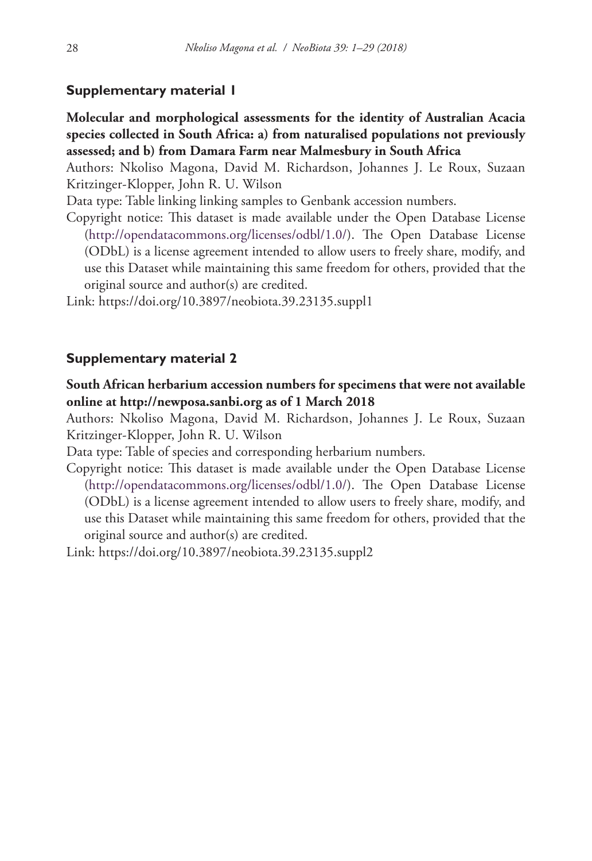## **Supplementary material 1**

**Molecular and morphological assessments for the identity of Australian Acacia species collected in South Africa: a) from naturalised populations not previously assessed; and b) from Damara Farm near Malmesbury in South Africa**

Authors: Nkoliso Magona, David M. Richardson, Johannes J. Le Roux, Suzaan Kritzinger-Klopper, John R. U. Wilson

Data type: Table linking linking samples to Genbank accession numbers.

Copyright notice: This dataset is made available under the Open Database License [\(http://opendatacommons.org/licenses/odbl/1.0/](http://opendatacommons.org/licenses/odbl/1.0/)). The Open Database License (ODbL) is a license agreement intended to allow users to freely share, modify, and use this Dataset while maintaining this same freedom for others, provided that the original source and author(s) are credited.

Link: <https://doi.org/10.3897/neobiota.39.23135.suppl1>

## **Supplementary material 2**

**South African herbarium accession numbers for specimens that were not available online at <http://newposa.sanbi.org> as of 1 March 2018**

Authors: Nkoliso Magona, David M. Richardson, Johannes J. Le Roux, Suzaan Kritzinger-Klopper, John R. U. Wilson

Data type: Table of species and corresponding herbarium numbers.

Copyright notice: This dataset is made available under the Open Database License [\(http://opendatacommons.org/licenses/odbl/1.0/](http://opendatacommons.org/licenses/odbl/1.0/)). The Open Database License (ODbL) is a license agreement intended to allow users to freely share, modify, and use this Dataset while maintaining this same freedom for others, provided that the original source and author(s) are credited.

Link: <https://doi.org/10.3897/neobiota.39.23135.suppl2>